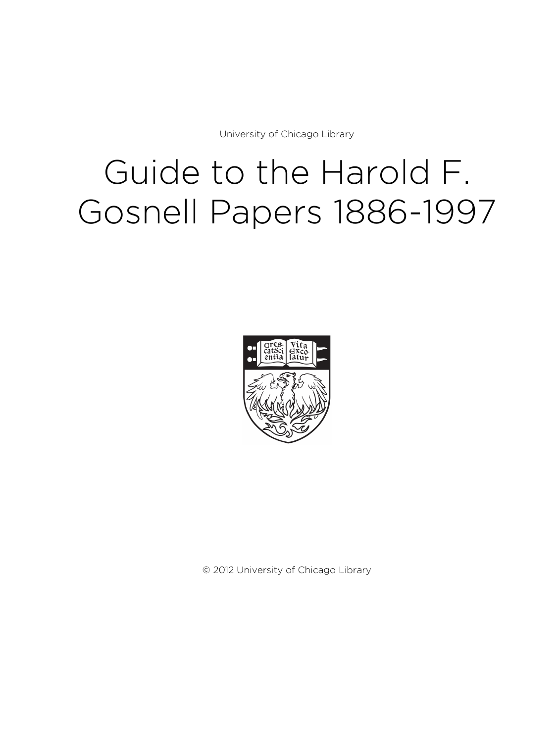University of Chicago Library

# Guide to the Harold F. Gosnell Papers 1886-1997



© 2012 University of Chicago Library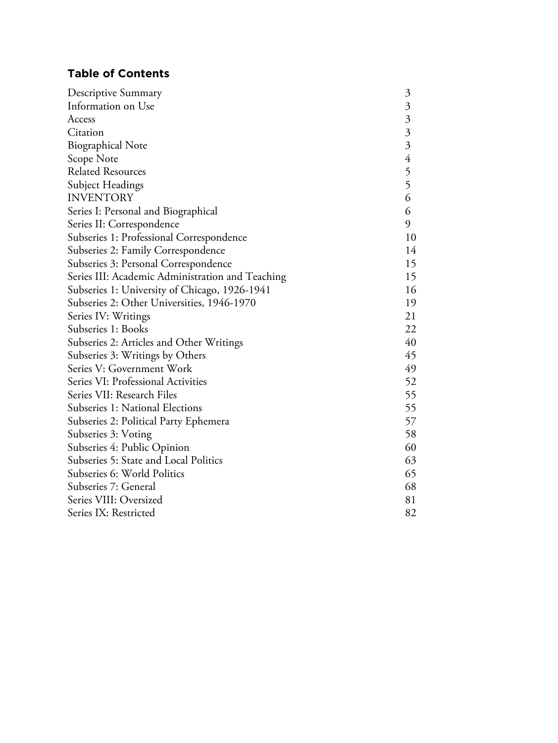# **Table of Contents**

| Descriptive Summary                              | 3                         |
|--------------------------------------------------|---------------------------|
| Information on Use                               | $\overline{3}$            |
| Access                                           | $\mathfrak{Z}$            |
| Citation                                         | $\overline{\mathfrak{Z}}$ |
| <b>Biographical Note</b>                         | $\overline{3}$            |
| Scope Note                                       | $\overline{4}$            |
| <b>Related Resources</b>                         | 5                         |
| Subject Headings                                 | 5                         |
| <b>INVENTORY</b>                                 | 6                         |
| Series I: Personal and Biographical              | 6                         |
| Series II: Correspondence                        | 9                         |
| Subseries 1: Professional Correspondence         | 10                        |
| Subseries 2: Family Correspondence               | 14                        |
| Subseries 3: Personal Correspondence             | 15                        |
| Series III: Academic Administration and Teaching | 15                        |
| Subseries 1: University of Chicago, 1926-1941    | 16                        |
| Subseries 2: Other Universities, 1946-1970       | 19                        |
| Series IV: Writings                              | 21                        |
| Subseries 1: Books                               | 22                        |
| Subseries 2: Articles and Other Writings         | 40                        |
| Subseries 3: Writings by Others                  | 45                        |
| Series V: Government Work                        | 49                        |
| Series VI: Professional Activities               | 52                        |
| Series VII: Research Files                       | 55                        |
| Subseries 1: National Elections                  | 55                        |
| Subseries 2: Political Party Ephemera            | 57                        |
| Subseries 3: Voting                              | 58                        |
| Subseries 4: Public Opinion                      | 60                        |
| Subseries 5: State and Local Politics            | 63                        |
| Subseries 6: World Politics                      | 65                        |
| Subseries 7: General                             | 68                        |
| Series VIII: Oversized                           | 81                        |
| Series IX: Restricted                            | 82                        |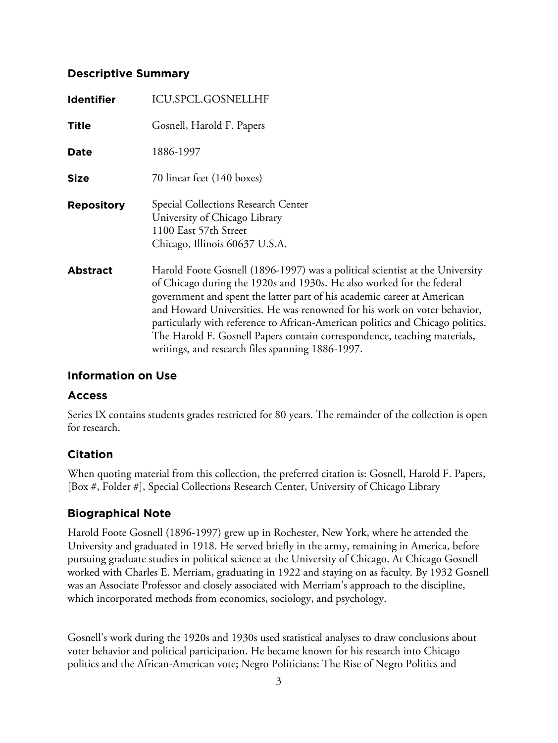# **Descriptive Summary**

| <b>Identifier</b> | <b>ICU.SPCL.GOSNELLHF</b>                                                                                                                                                                                                                                                                                                                                                                                                                                                                                                      |
|-------------------|--------------------------------------------------------------------------------------------------------------------------------------------------------------------------------------------------------------------------------------------------------------------------------------------------------------------------------------------------------------------------------------------------------------------------------------------------------------------------------------------------------------------------------|
| <b>Title</b>      | Gosnell, Harold F. Papers                                                                                                                                                                                                                                                                                                                                                                                                                                                                                                      |
| Date              | 1886-1997                                                                                                                                                                                                                                                                                                                                                                                                                                                                                                                      |
| Size              | 70 linear feet (140 boxes)                                                                                                                                                                                                                                                                                                                                                                                                                                                                                                     |
| <b>Repository</b> | Special Collections Research Center<br>University of Chicago Library<br>1100 East 57th Street<br>Chicago, Illinois 60637 U.S.A.                                                                                                                                                                                                                                                                                                                                                                                                |
| <b>Abstract</b>   | Harold Foote Gosnell (1896-1997) was a political scientist at the University<br>of Chicago during the 1920s and 1930s. He also worked for the federal<br>government and spent the latter part of his academic career at American<br>and Howard Universities. He was renowned for his work on voter behavior,<br>particularly with reference to African-American politics and Chicago politics.<br>The Harold F. Gosnell Papers contain correspondence, teaching materials,<br>writings, and research files spanning 1886-1997. |

# **Information on Use**

# **Access**

Series IX contains students grades restricted for 80 years. The remainder of the collection is open for research.

# **Citation**

When quoting material from this collection, the preferred citation is: Gosnell, Harold F. Papers, [Box #, Folder #], Special Collections Research Center, University of Chicago Library

# **Biographical Note**

Harold Foote Gosnell (1896-1997) grew up in Rochester, New York, where he attended the University and graduated in 1918. He served briefly in the army, remaining in America, before pursuing graduate studies in political science at the University of Chicago. At Chicago Gosnell worked with Charles E. Merriam, graduating in 1922 and staying on as faculty. By 1932 Gosnell was an Associate Professor and closely associated with Merriam's approach to the discipline, which incorporated methods from economics, sociology, and psychology.

Gosnell's work during the 1920s and 1930s used statistical analyses to draw conclusions about voter behavior and political participation. He became known for his research into Chicago politics and the African-American vote; Negro Politicians: The Rise of Negro Politics and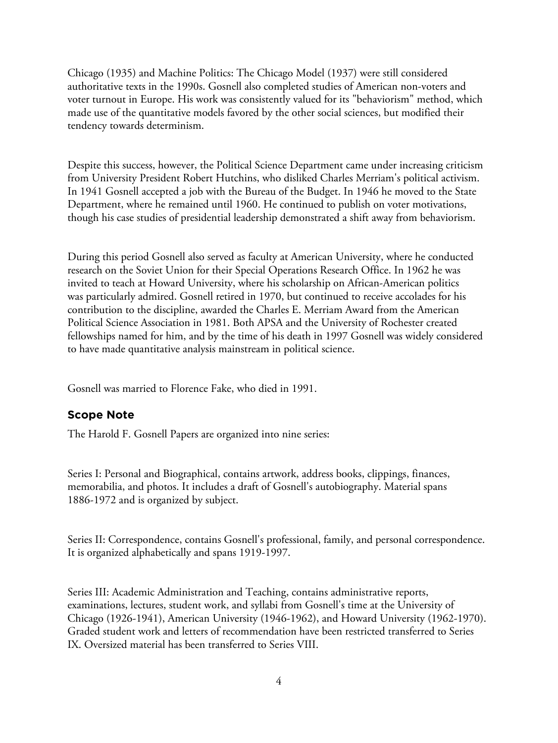Chicago (1935) and Machine Politics: The Chicago Model (1937) were still considered authoritative texts in the 1990s. Gosnell also completed studies of American non-voters and voter turnout in Europe. His work was consistently valued for its "behaviorism" method, which made use of the quantitative models favored by the other social sciences, but modified their tendency towards determinism.

Despite this success, however, the Political Science Department came under increasing criticism from University President Robert Hutchins, who disliked Charles Merriam's political activism. In 1941 Gosnell accepted a job with the Bureau of the Budget. In 1946 he moved to the State Department, where he remained until 1960. He continued to publish on voter motivations, though his case studies of presidential leadership demonstrated a shift away from behaviorism.

During this period Gosnell also served as faculty at American University, where he conducted research on the Soviet Union for their Special Operations Research Office. In 1962 he was invited to teach at Howard University, where his scholarship on African-American politics was particularly admired. Gosnell retired in 1970, but continued to receive accolades for his contribution to the discipline, awarded the Charles E. Merriam Award from the American Political Science Association in 1981. Both APSA and the University of Rochester created fellowships named for him, and by the time of his death in 1997 Gosnell was widely considered to have made quantitative analysis mainstream in political science.

Gosnell was married to Florence Fake, who died in 1991.

# **Scope Note**

The Harold F. Gosnell Papers are organized into nine series:

Series I: Personal and Biographical, contains artwork, address books, clippings, finances, memorabilia, and photos. It includes a draft of Gosnell's autobiography. Material spans 1886-1972 and is organized by subject.

Series II: Correspondence, contains Gosnell's professional, family, and personal correspondence. It is organized alphabetically and spans 1919-1997.

Series III: Academic Administration and Teaching, contains administrative reports, examinations, lectures, student work, and syllabi from Gosnell's time at the University of Chicago (1926-1941), American University (1946-1962), and Howard University (1962-1970). Graded student work and letters of recommendation have been restricted transferred to Series IX. Oversized material has been transferred to Series VIII.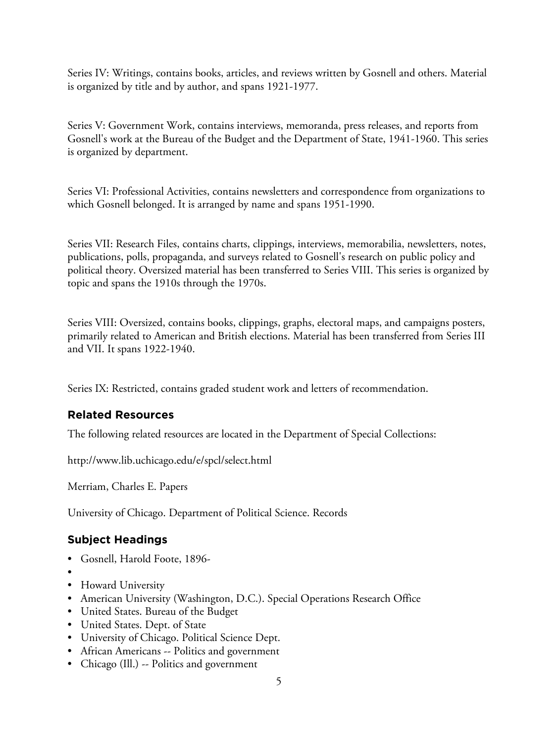Series IV: Writings, contains books, articles, and reviews written by Gosnell and others. Material is organized by title and by author, and spans 1921-1977.

Series V: Government Work, contains interviews, memoranda, press releases, and reports from Gosnell's work at the Bureau of the Budget and the Department of State, 1941-1960. This series is organized by department.

Series VI: Professional Activities, contains newsletters and correspondence from organizations to which Gosnell belonged. It is arranged by name and spans 1951-1990.

Series VII: Research Files, contains charts, clippings, interviews, memorabilia, newsletters, notes, publications, polls, propaganda, and surveys related to Gosnell's research on public policy and political theory. Oversized material has been transferred to Series VIII. This series is organized by topic and spans the 1910s through the 1970s.

Series VIII: Oversized, contains books, clippings, graphs, electoral maps, and campaigns posters, primarily related to American and British elections. Material has been transferred from Series III and VII. It spans 1922-1940.

Series IX: Restricted, contains graded student work and letters of recommendation.

# **Related Resources**

The following related resources are located in the Department of Special Collections:

http://www.lib.uchicago.edu/e/spcl/select.html

Merriam, Charles E. Papers

University of Chicago. Department of Political Science. Records

# **Subject Headings**

- Gosnell, Harold Foote, 1896-
- •
- Howard University
- American University (Washington, D.C.). Special Operations Research Office
- United States. Bureau of the Budget
- United States. Dept. of State
- University of Chicago. Political Science Dept.
- African Americans -- Politics and government
- Chicago (Ill.) -- Politics and government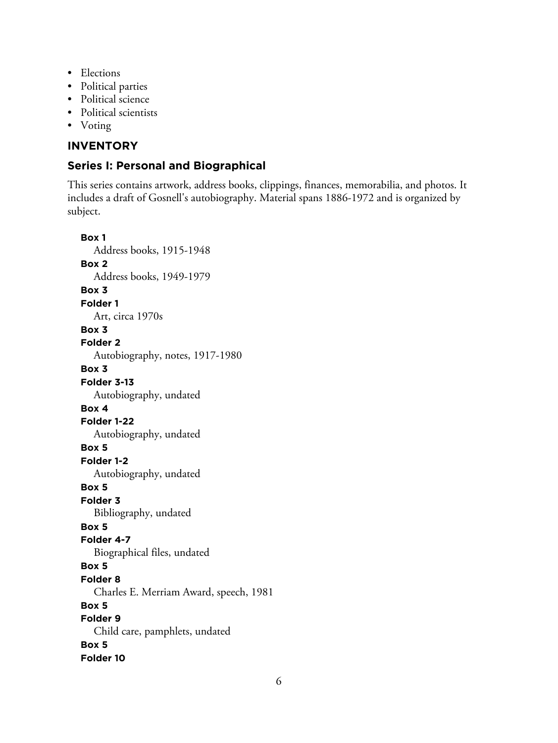- Elections
- Political parties
- Political science
- Political scientists
- Voting

# **INVENTORY**

# **Series I: Personal and Biographical**

This series contains artwork, address books, clippings, finances, memorabilia, and photos. It includes a draft of Gosnell's autobiography. Material spans 1886-1972 and is organized by subject.

**Box 1** Address books, 1915-1948 **Box 2** Address books, 1949-1979 **Box 3 Folder 1** Art, circa 1970s **Box 3 Folder 2** Autobiography, notes, 1917-1980 **Box 3 Folder 3-13** Autobiography, undated **Box 4 Folder 1-22** Autobiography, undated **Box 5 Folder 1-2** Autobiography, undated **Box 5 Folder 3** Bibliography, undated **Box 5 Folder 4-7** Biographical files, undated **Box 5 Folder 8** Charles E. Merriam Award, speech, 1981 **Box 5 Folder 9** Child care, pamphlets, undated **Box 5 Folder 10**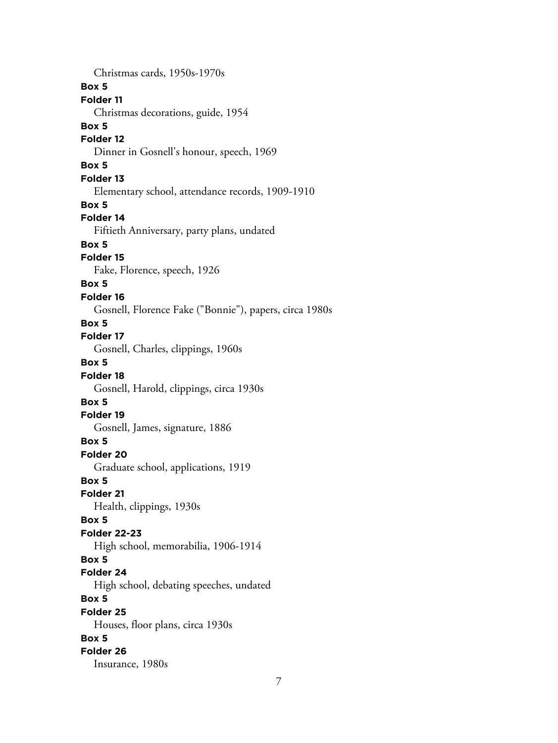Christmas cards, 1950s-1970s **Box 5 Folder 11** Christmas decorations, guide, 1954 **Box 5 Folder 12** Dinner in Gosnell's honour, speech, 1969 **Box 5 Folder 13** Elementary school, attendance records, 1909-1910 **Box 5 Folder 14** Fiftieth Anniversary, party plans, undated **Box 5 Folder 15** Fake, Florence, speech, 1926 **Box 5 Folder 16** Gosnell, Florence Fake ("Bonnie"), papers, circa 1980s **Box 5 Folder 17** Gosnell, Charles, clippings, 1960s **Box 5 Folder 18** Gosnell, Harold, clippings, circa 1930s **Box 5 Folder 19** Gosnell, James, signature, 1886 **Box 5 Folder 20** Graduate school, applications, 1919 **Box 5 Folder 21** Health, clippings, 1930s **Box 5 Folder 22-23** High school, memorabilia, 1906-1914 **Box 5 Folder 24** High school, debating speeches, undated **Box 5 Folder 25** Houses, floor plans, circa 1930s **Box 5 Folder 26** Insurance, 1980s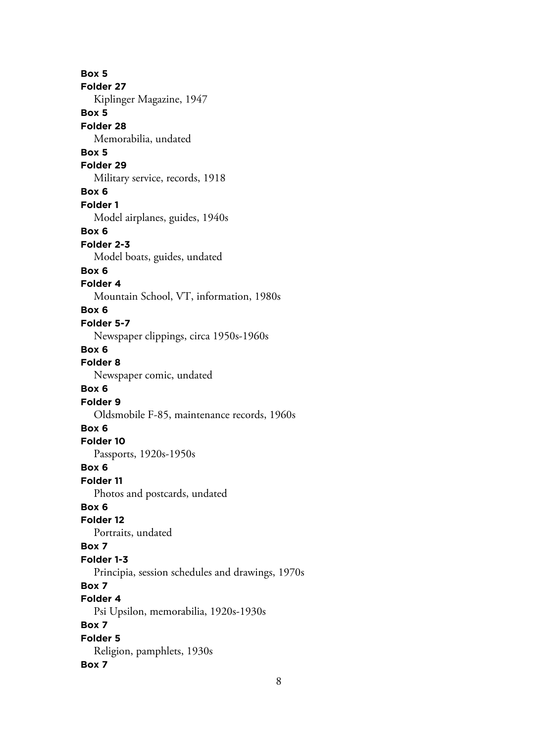**Box 5 Folder 27** Kiplinger Magazine, 1947 **Box 5 Folder 28** Memorabilia, undated **Box 5 Folder 29** Military service, records, 1918 **Box 6 Folder 1** Model airplanes, guides, 1940s **Box 6 Folder 2-3** Model boats, guides, undated **Box 6 Folder 4** Mountain School, VT, information, 1980s **Box 6 Folder 5-7** Newspaper clippings, circa 1950s-1960s **Box 6 Folder 8** Newspaper comic, undated **Box 6 Folder 9** Oldsmobile F-85, maintenance records, 1960s **Box 6 Folder 10** Passports, 1920s-1950s **Box 6 Folder 11** Photos and postcards, undated **Box 6 Folder 12** Portraits, undated **Box 7 Folder 1-3** Principia, session schedules and drawings, 1970s **Box 7 Folder 4** Psi Upsilon, memorabilia, 1920s-1930s **Box 7 Folder 5** Religion, pamphlets, 1930s **Box 7**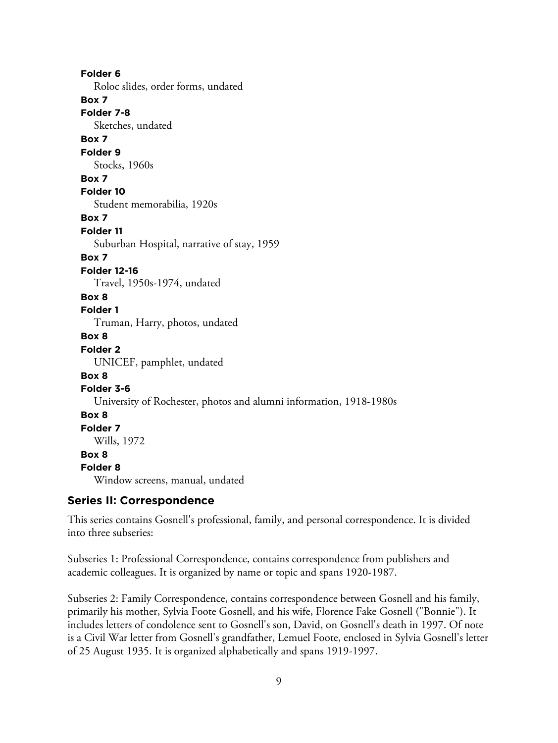**Folder 6** Roloc slides, order forms, undated **Box 7 Folder 7-8** Sketches, undated **Box 7 Folder 9** Stocks, 1960s **Box 7 Folder 10** Student memorabilia, 1920s **Box 7 Folder 11** Suburban Hospital, narrative of stay, 1959 **Box 7 Folder 12-16** Travel, 1950s-1974, undated **Box 8 Folder 1** Truman, Harry, photos, undated **Box 8 Folder 2** UNICEF, pamphlet, undated **Box 8 Folder 3-6** University of Rochester, photos and alumni information, 1918-1980s **Box 8 Folder 7** Wills, 1972 **Box 8 Folder 8** Window screens, manual, undated

# **Series II: Correspondence**

This series contains Gosnell's professional, family, and personal correspondence. It is divided into three subseries:

Subseries 1: Professional Correspondence, contains correspondence from publishers and academic colleagues. It is organized by name or topic and spans 1920-1987.

Subseries 2: Family Correspondence, contains correspondence between Gosnell and his family, primarily his mother, Sylvia Foote Gosnell, and his wife, Florence Fake Gosnell ("Bonnie"). It includes letters of condolence sent to Gosnell's son, David, on Gosnell's death in 1997. Of note is a Civil War letter from Gosnell's grandfather, Lemuel Foote, enclosed in Sylvia Gosnell's letter of 25 August 1935. It is organized alphabetically and spans 1919-1997.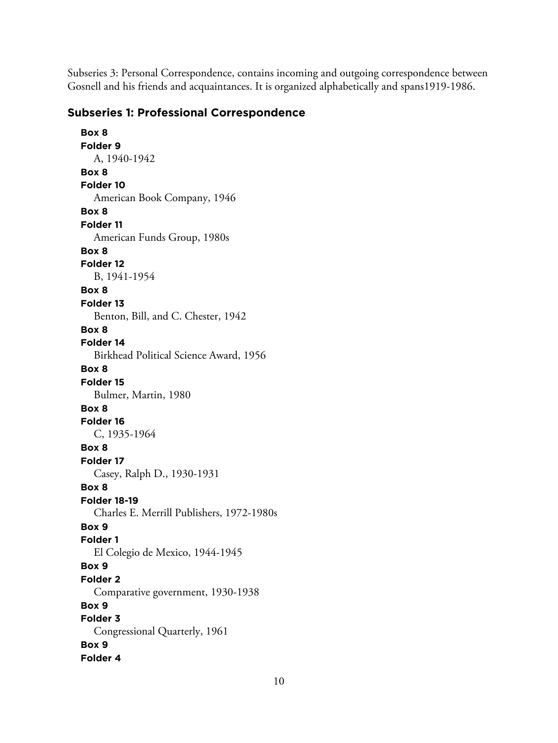Subseries 3: Personal Correspondence, contains incoming and outgoing correspondence between Gosnell and his friends and acquaintances. It is organized alphabetically and spans1919-1986.

## **Subseries 1: Professional Correspondence**

**Box 8 Folder 9** A, 1940-1942 **Box 8 Folder 10** American Book Company, 1946 **Box 8 Folder 11** American Funds Group, 1980s **Box 8 Folder 12** B, 1941-1954 **Box 8 Folder 13** Benton, Bill, and C. Chester, 1942 **Box 8 Folder 14** Birkhead Political Science Award, 1956 **Box 8 Folder 15** Bulmer, Martin, 1980 **Box 8 Folder 16** C, 1935-1964 **Box 8 Folder 17** Casey, Ralph D., 1930-1931 **Box 8 Folder 18-19** Charles E. Merrill Publishers, 1972-1980s **Box 9 Folder 1** El Colegio de Mexico, 1944-1945 **Box 9 Folder 2** Comparative government, 1930-1938 **Box 9 Folder 3** Congressional Quarterly, 1961 **Box 9 Folder 4**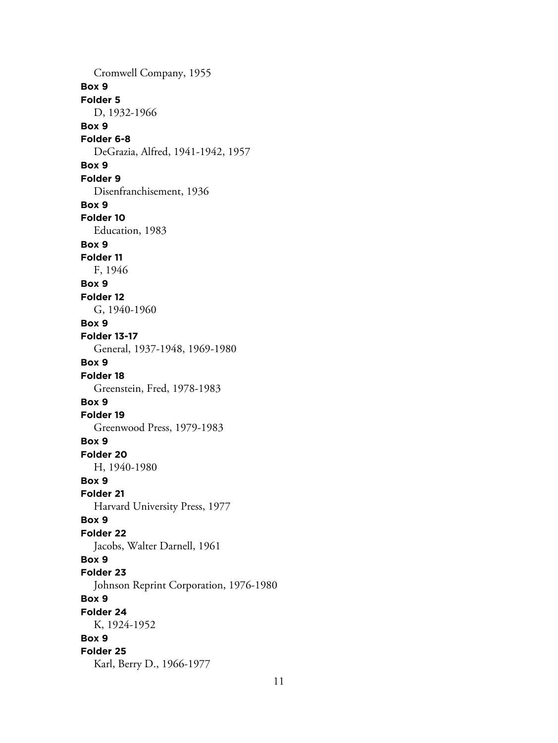Cromwell Company, 1955 **Box 9 Folder 5** D, 1932-1966 **Box 9 Folder 6-8** DeGrazia, Alfred, 1941-1942, 1957 **Box 9 Folder 9** Disenfranchisement, 1936 **Box 9 Folder 10** Education, 1983 **Box 9 Folder 11** F, 1946 **Box 9 Folder 12** G, 1940-1960 **Box 9 Folder 13-17** General, 1937-1948, 1969-1980 **Box 9 Folder 18** Greenstein, Fred, 1978-1983 **Box 9 Folder 19** Greenwood Press, 1979-1983 **Box 9 Folder 20** H, 1940-1980 **Box 9 Folder 21** Harvard University Press, 1977 **Box 9 Folder 22** Jacobs, Walter Darnell, 1961 **Box 9 Folder 23** Johnson Reprint Corporation, 1976-1980 **Box 9 Folder 24** K, 1924-1952 **Box 9 Folder 25** Karl, Berry D., 1966-1977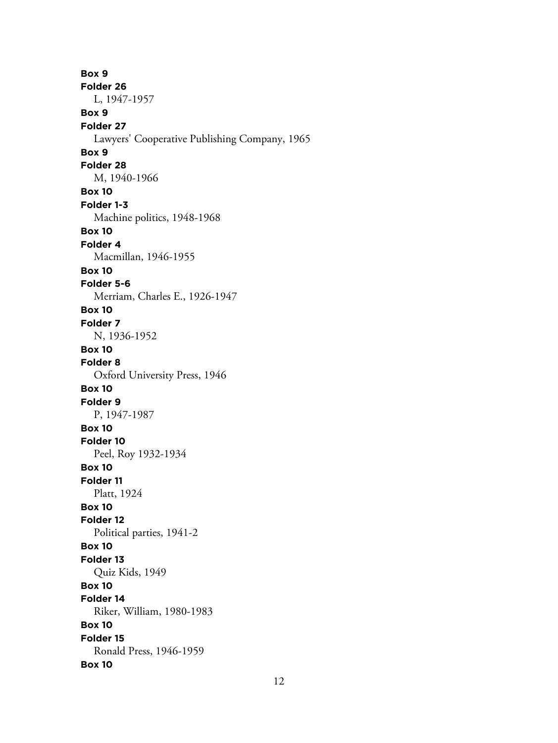**Box 9 Folder 26** L, 1947-1957 **Box 9 Folder 27** Lawyers' Cooperative Publishing Company, 1965 **Box 9 Folder 28** M, 1940-1966 **Box 10 Folder 1-3** Machine politics, 1948-1968 **Box 10 Folder 4** Macmillan, 1946-1955 **Box 10 Folder 5-6** Merriam, Charles E., 1926-1947 **Box 10 Folder 7** N, 1936-1952 **Box 10 Folder 8** Oxford University Press, 1946 **Box 10 Folder 9** P, 1947-1987 **Box 10 Folder 10** Peel, Roy 1932-1934 **Box 10 Folder 11** Platt, 1924 **Box 10 Folder 12** Political parties, 1941-2 **Box 10 Folder 13** Quiz Kids, 1949 **Box 10 Folder 14** Riker, William, 1980-1983 **Box 10 Folder 15** Ronald Press, 1946-1959 **Box 10**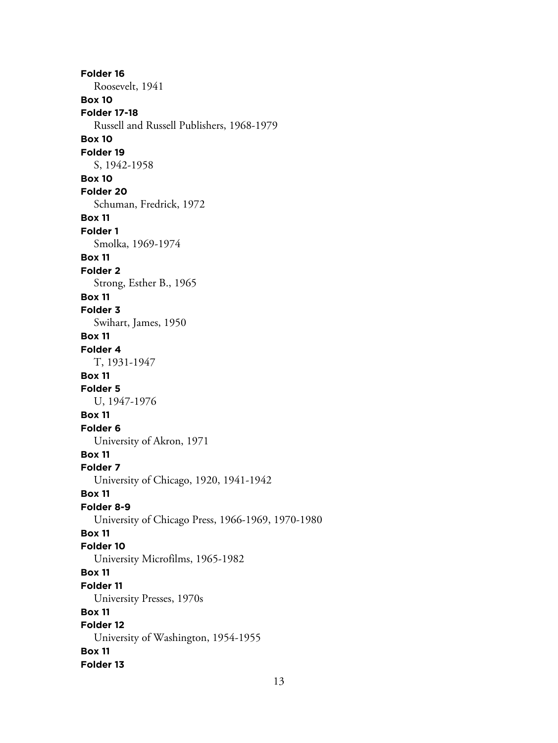**Folder 16** Roosevelt, 1941 **Box 10 Folder 17-18** Russell and Russell Publishers, 1968-1979 **Box 10 Folder 19** S, 1942-1958 **Box 10 Folder 20** Schuman, Fredrick, 1972 **Box 11 Folder 1** Smolka, 1969-1974 **Box 11 Folder 2** Strong, Esther B., 1965 **Box 11 Folder 3** Swihart, James, 1950 **Box 11 Folder 4** T, 1931-1947 **Box 11 Folder 5** U, 1947-1976 **Box 11 Folder 6** University of Akron, 1971 **Box 11 Folder 7** University of Chicago, 1920, 1941-1942 **Box 11 Folder 8-9** University of Chicago Press, 1966-1969, 1970-1980 **Box 11 Folder 10** University Microfilms, 1965-1982 **Box 11 Folder 11** University Presses, 1970s **Box 11 Folder 12** University of Washington, 1954-1955 **Box 11 Folder 13**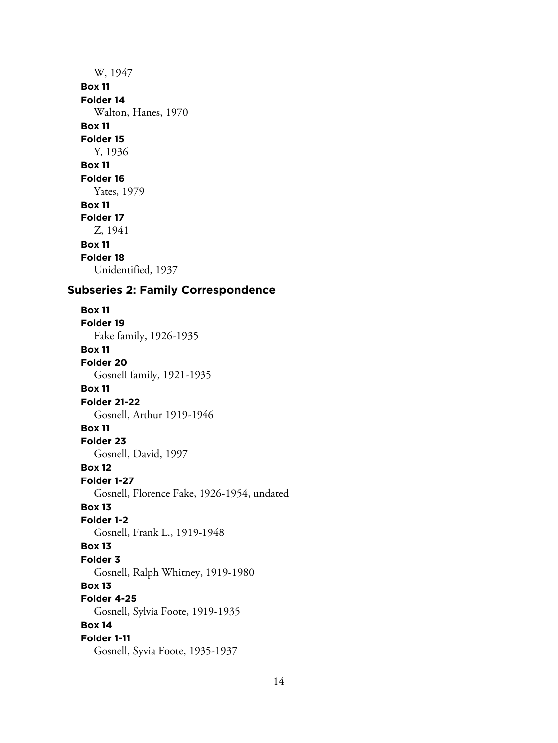W, 1947 **Box 11 Folder 14** Walton, Hanes, 1970 **Box 11 Folder 15** Y, 1936 **Box 11 Folder 16** Yates, 1979 **Box 11 Folder 17** Z, 1941 **Box 11 Folder 18** Unidentified, 1937 **Subseries 2: Family Correspondence Box 11 Folder 19** Fake family, 1926-1935 **Box 11 Folder 20** Gosnell family, 1921-1935 **Box 11 Folder 21-22** Gosnell, Arthur 1919-1946 **Box 11 Folder 23** Gosnell, David, 1997 **Box 12 Folder 1-27** Gosnell, Florence Fake, 1926-1954, undated **Box 13 Folder 1-2** Gosnell, Frank L., 1919-1948 **Box 13 Folder 3** Gosnell, Ralph Whitney, 1919-1980 **Box 13 Folder 4-25** Gosnell, Sylvia Foote, 1919-1935 **Box 14 Folder 1-11** Gosnell, Syvia Foote, 1935-1937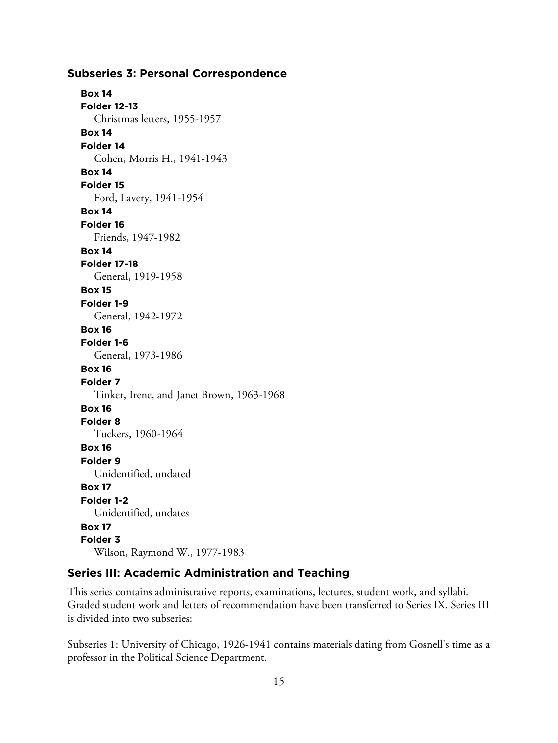#### **Subseries 3: Personal Correspondence**

**Box 14 Folder 12-13** Christmas letters, 1955-1957 **Box 14 Folder 14** Cohen, Morris H., 1941-1943 **Box 14 Folder 15** Ford, Lavery, 1941-1954 **Box 14 Folder 16** Friends, 1947-1982 **Box 14 Folder 17-18** General, 1919-1958 **Box 15 Folder 1-9** General, 1942-1972 **Box 16 Folder 1-6** General, 1973-1986 **Box 16 Folder 7** Tinker, Irene, and Janet Brown, 1963-1968 **Box 16 Folder 8** Tuckers, 1960-1964 **Box 16 Folder 9** Unidentified, undated **Box 17 Folder 1-2** Unidentified, undates **Box 17 Folder 3** Wilson, Raymond W., 1977-1983

# **Series III: Academic Administration and Teaching**

This series contains administrative reports, examinations, lectures, student work, and syllabi. Graded student work and letters of recommendation have been transferred to Series IX. Series III is divided into two subseries:

Subseries 1: University of Chicago, 1926-1941 contains materials dating from Gosnell's time as a professor in the Political Science Department.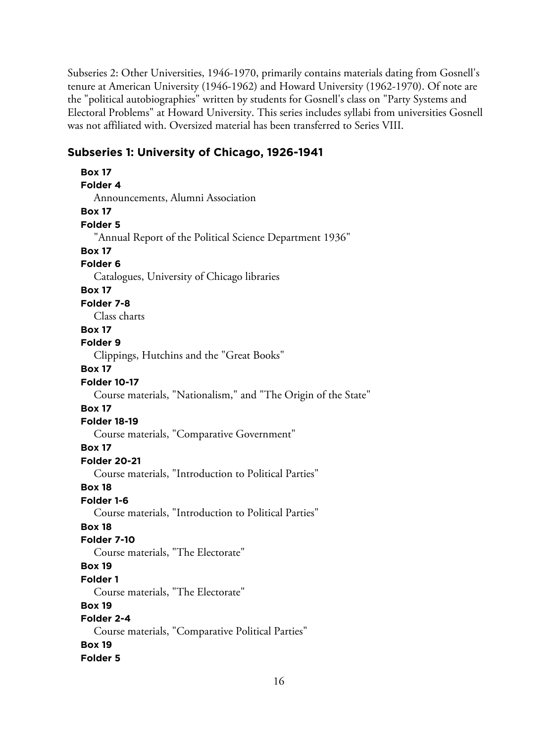Subseries 2: Other Universities, 1946-1970, primarily contains materials dating from Gosnell's tenure at American University (1946-1962) and Howard University (1962-1970). Of note are the "political autobiographies" written by students for Gosnell's class on "Party Systems and Electoral Problems" at Howard University. This series includes syllabi from universities Gosnell was not affiliated with. Oversized material has been transferred to Series VIII.

# **Subseries 1: University of Chicago, 1926-1941**

**Box 17 Folder 4** Announcements, Alumni Association **Box 17 Folder 5** "Annual Report of the Political Science Department 1936" **Box 17 Folder 6** Catalogues, University of Chicago libraries **Box 17 Folder 7-8** Class charts **Box 17 Folder 9** Clippings, Hutchins and the "Great Books" **Box 17 Folder 10-17** Course materials, "Nationalism," and "The Origin of the State" **Box 17 Folder 18-19** Course materials, "Comparative Government" **Box 17 Folder 20-21** Course materials, "Introduction to Political Parties" **Box 18 Folder 1-6** Course materials, "Introduction to Political Parties" **Box 18 Folder 7-10** Course materials, "The Electorate" **Box 19 Folder 1** Course materials, "The Electorate" **Box 19 Folder 2-4** Course materials, "Comparative Political Parties" **Box 19 Folder 5**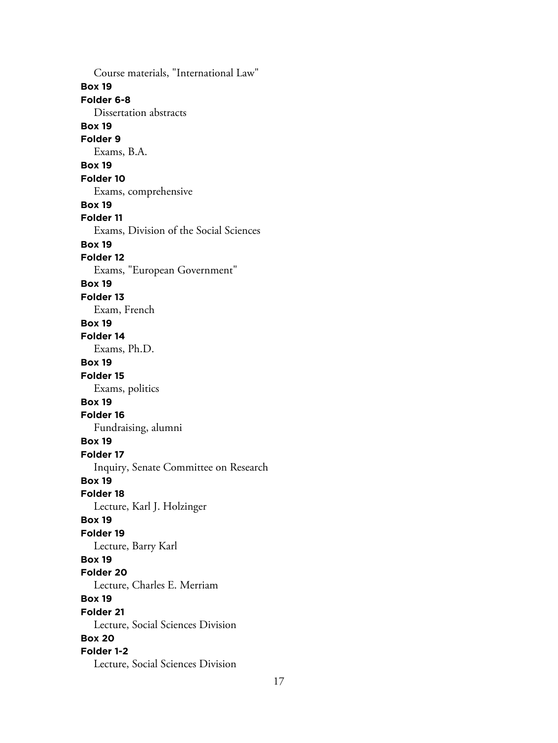Course materials, "International Law" **Box 19 Folder 6-8** Dissertation abstracts **Box 19 Folder 9** Exams, B.A. **Box 19 Folder 10** Exams, comprehensive **Box 19 Folder 11** Exams, Division of the Social Sciences **Box 19 Folder 12** Exams, "European Government" **Box 19 Folder 13** Exam, French **Box 19 Folder 14** Exams, Ph.D. **Box 19 Folder 15** Exams, politics **Box 19 Folder 16** Fundraising, alumni **Box 19 Folder 17** Inquiry, Senate Committee on Research **Box 19 Folder 18** Lecture, Karl J. Holzinger **Box 19 Folder 19** Lecture, Barry Karl **Box 19 Folder 20** Lecture, Charles E. Merriam **Box 19 Folder 21** Lecture, Social Sciences Division **Box 20 Folder 1-2** Lecture, Social Sciences Division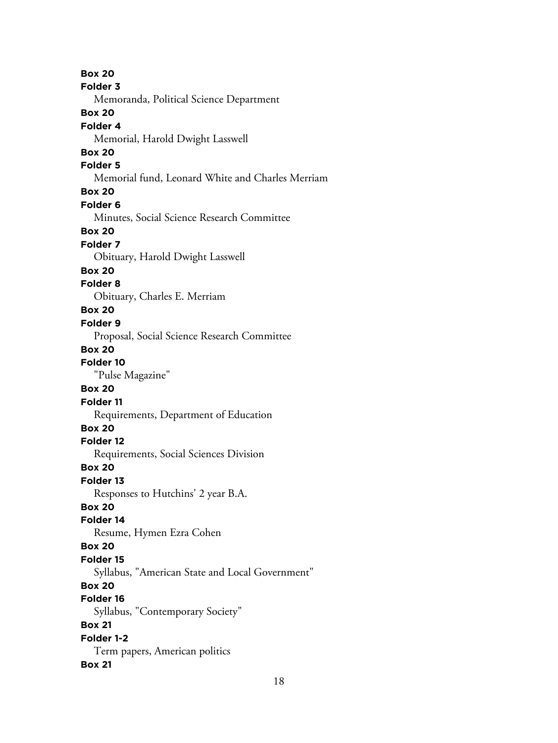**Box 20 Folder 3** Memoranda, Political Science Department **Box 20 Folder 4** Memorial, Harold Dwight Lasswell **Box 20 Folder 5** Memorial fund, Leonard White and Charles Merriam **Box 20 Folder 6** Minutes, Social Science Research Committee **Box 20 Folder 7** Obituary, Harold Dwight Lasswell **Box 20 Folder 8** Obituary, Charles E. Merriam **Box 20 Folder 9** Proposal, Social Science Research Committee **Box 20 Folder 10** "Pulse Magazine" **Box 20 Folder 11** Requirements, Department of Education **Box 20 Folder 12** Requirements, Social Sciences Division **Box 20 Folder 13** Responses to Hutchins' 2 year B.A. **Box 20 Folder 14** Resume, Hymen Ezra Cohen **Box 20 Folder 15** Syllabus, "American State and Local Government" **Box 20 Folder 16** Syllabus, "Contemporary Society" **Box 21 Folder 1-2** Term papers, American politics **Box 21**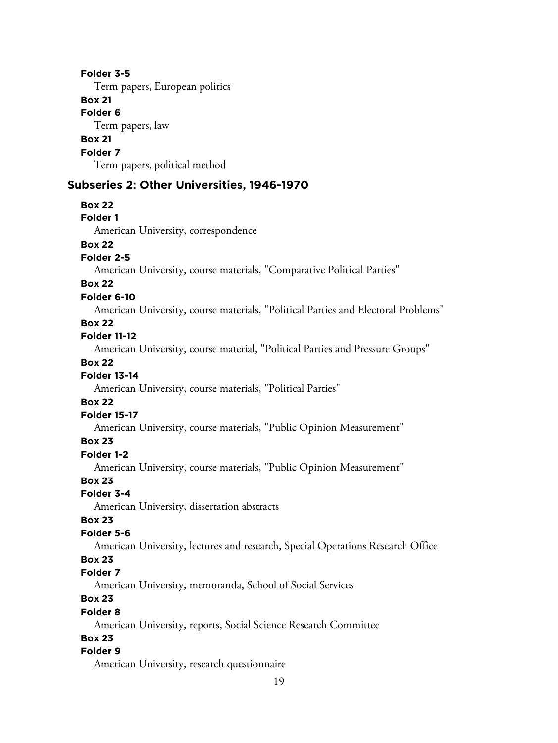#### **Folder 3-5**

Term papers, European politics

# **Box 21**

**Folder 6**

Term papers, law

#### **Box 21 Folder 7**

Term papers, political method

# **Subseries 2: Other Universities, 1946-1970**

**Box 22**

**Folder 1**

American University, correspondence

# **Box 22**

## **Folder 2-5**

American University, course materials, "Comparative Political Parties"

## **Box 22**

#### **Folder 6-10**

American University, course materials, "Political Parties and Electoral Problems"

#### **Box 22**

#### **Folder 11-12**

American University, course material, "Political Parties and Pressure Groups"

# **Box 22**

#### **Folder 13-14**

American University, course materials, "Political Parties"

## **Box 22**

#### **Folder 15-17**

American University, course materials, "Public Opinion Measurement"

#### **Box 23**

## **Folder 1-2**

American University, course materials, "Public Opinion Measurement"

## **Box 23**

#### **Folder 3-4**

American University, dissertation abstracts

#### **Box 23**

## **Folder 5-6**

American University, lectures and research, Special Operations Research Office

## **Box 23**

## **Folder 7**

American University, memoranda, School of Social Services

# **Box 23**

#### **Folder 8**

American University, reports, Social Science Research Committee

# **Box 23**

## **Folder 9**

American University, research questionnaire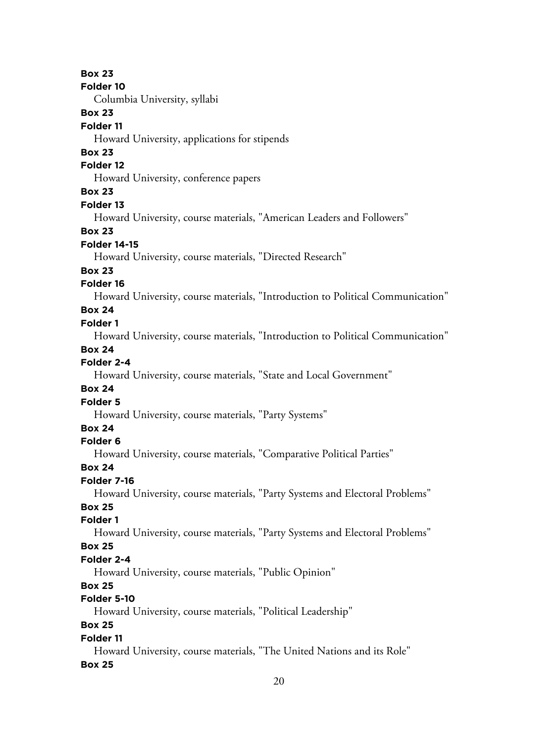#### **Box 23**

#### **Folder 10**

Columbia University, syllabi

## **Box 23**

#### **Folder 11**

Howard University, applications for stipends

# **Box 23**

## **Folder 12**

Howard University, conference papers

# **Box 23**

#### **Folder 13**

Howard University, course materials, "American Leaders and Followers"

#### **Box 23**

## **Folder 14-15**

Howard University, course materials, "Directed Research"

## **Box 23**

## **Folder 16**

Howard University, course materials, "Introduction to Political Communication"

# **Box 24**

#### **Folder 1**

Howard University, course materials, "Introduction to Political Communication"

# **Box 24**

# **Folder 2-4**

Howard University, course materials, "State and Local Government"

## **Box 24**

#### **Folder 5**

Howard University, course materials, "Party Systems"

# **Box 24**

## **Folder 6**

Howard University, course materials, "Comparative Political Parties"

## **Box 24**

# **Folder 7-16**

Howard University, course materials, "Party Systems and Electoral Problems"

# **Box 25**

## **Folder 1**

Howard University, course materials, "Party Systems and Electoral Problems"

## **Box 25**

## **Folder 2-4**

Howard University, course materials, "Public Opinion"

# **Box 25**

# **Folder 5-10**

Howard University, course materials, "Political Leadership"

# **Box 25**

# **Folder 11**

Howard University, course materials, "The United Nations and its Role" **Box 25**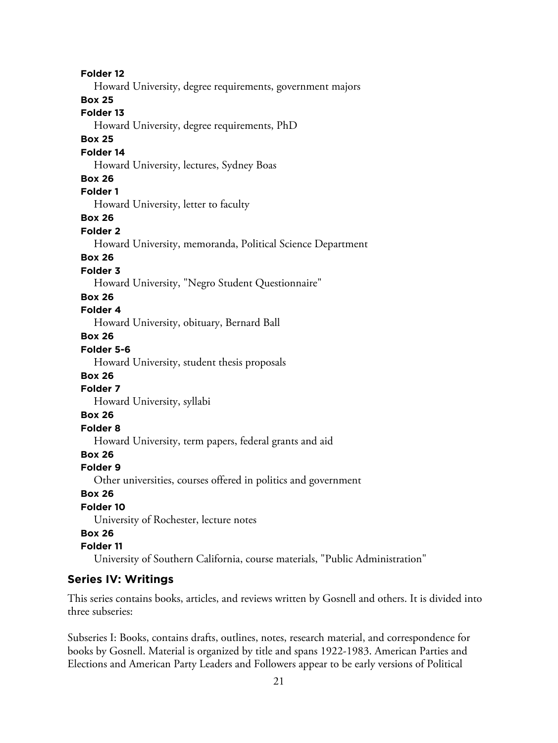**Folder 12** Howard University, degree requirements, government majors **Box 25 Folder 13** Howard University, degree requirements, PhD **Box 25 Folder 14** Howard University, lectures, Sydney Boas **Box 26 Folder 1** Howard University, letter to faculty **Box 26 Folder 2** Howard University, memoranda, Political Science Department **Box 26 Folder 3** Howard University, "Negro Student Questionnaire" **Box 26 Folder 4** Howard University, obituary, Bernard Ball **Box 26 Folder 5-6** Howard University, student thesis proposals **Box 26 Folder 7** Howard University, syllabi **Box 26 Folder 8** Howard University, term papers, federal grants and aid **Box 26 Folder 9** Other universities, courses offered in politics and government **Box 26 Folder 10** University of Rochester, lecture notes **Box 26 Folder 11** University of Southern California, course materials, "Public Administration" **Series IV: Writings**

This series contains books, articles, and reviews written by Gosnell and others. It is divided into three subseries:

Subseries I: Books, contains drafts, outlines, notes, research material, and correspondence for books by Gosnell. Material is organized by title and spans 1922-1983. American Parties and Elections and American Party Leaders and Followers appear to be early versions of Political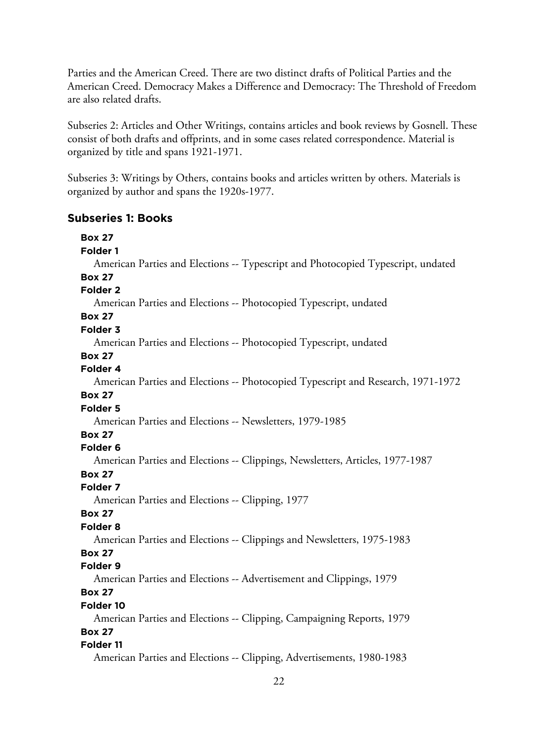Parties and the American Creed. There are two distinct drafts of Political Parties and the American Creed. Democracy Makes a Difference and Democracy: The Threshold of Freedom are also related drafts.

Subseries 2: Articles and Other Writings, contains articles and book reviews by Gosnell. These consist of both drafts and offprints, and in some cases related correspondence. Material is organized by title and spans 1921-1971.

Subseries 3: Writings by Others, contains books and articles written by others. Materials is organized by author and spans the 1920s-1977.

# **Subseries 1: Books**

**Box 27 Folder 1** American Parties and Elections -- Typescript and Photocopied Typescript, undated **Box 27 Folder 2** American Parties and Elections -- Photocopied Typescript, undated **Box 27 Folder 3** American Parties and Elections -- Photocopied Typescript, undated **Box 27 Folder 4** American Parties and Elections -- Photocopied Typescript and Research, 1971-1972 **Box 27 Folder 5** American Parties and Elections -- Newsletters, 1979-1985 **Box 27 Folder 6** American Parties and Elections -- Clippings, Newsletters, Articles, 1977-1987 **Box 27 Folder 7** American Parties and Elections -- Clipping, 1977 **Box 27 Folder 8** American Parties and Elections -- Clippings and Newsletters, 1975-1983 **Box 27 Folder 9** American Parties and Elections -- Advertisement and Clippings, 1979 **Box 27 Folder 10** American Parties and Elections -- Clipping, Campaigning Reports, 1979 **Box 27 Folder 11** American Parties and Elections -- Clipping, Advertisements, 1980-1983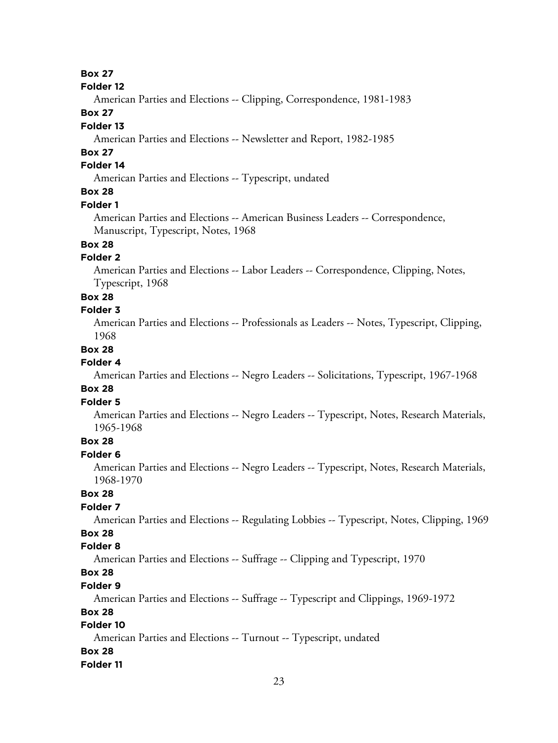#### **Box 27**

#### **Folder 12**

American Parties and Elections -- Clipping, Correspondence, 1981-1983

## **Box 27**

#### **Folder 13**

American Parties and Elections -- Newsletter and Report, 1982-1985

# **Box 27**

# **Folder 14**

American Parties and Elections -- Typescript, undated

# **Box 28**

#### **Folder 1**

American Parties and Elections -- American Business Leaders -- Correspondence, Manuscript, Typescript, Notes, 1968

# **Box 28**

# **Folder 2**

American Parties and Elections -- Labor Leaders -- Correspondence, Clipping, Notes, Typescript, 1968

#### **Box 28**

#### **Folder 3**

American Parties and Elections -- Professionals as Leaders -- Notes, Typescript, Clipping, 1968

#### **Box 28**

#### **Folder 4**

American Parties and Elections -- Negro Leaders -- Solicitations, Typescript, 1967-1968

# **Box 28**

## **Folder 5**

American Parties and Elections -- Negro Leaders -- Typescript, Notes, Research Materials, 1965-1968

#### **Box 28**

#### **Folder 6**

American Parties and Elections -- Negro Leaders -- Typescript, Notes, Research Materials, 1968-1970

# **Box 28**

## **Folder 7**

American Parties and Elections -- Regulating Lobbies -- Typescript, Notes, Clipping, 1969

# **Box 28**

## **Folder 8**

American Parties and Elections -- Suffrage -- Clipping and Typescript, 1970

# **Box 28**

#### **Folder 9**

American Parties and Elections -- Suffrage -- Typescript and Clippings, 1969-1972

## **Box 28**

# **Folder 10**

American Parties and Elections -- Turnout -- Typescript, undated

#### **Box 28**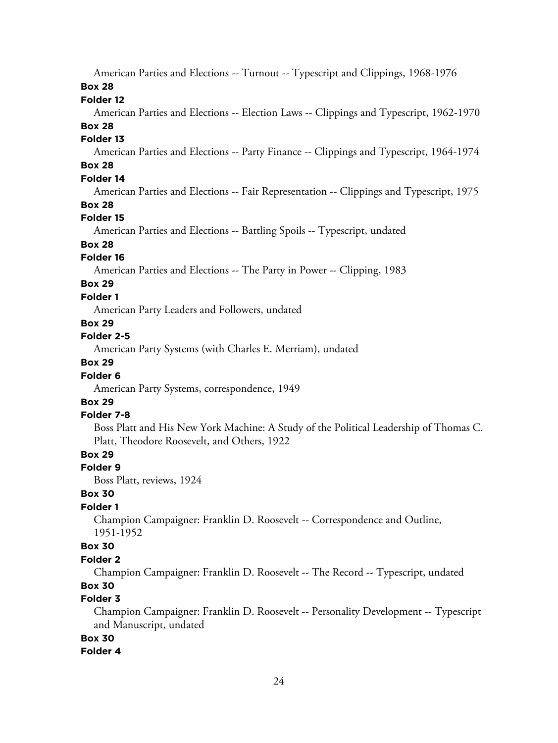American Parties and Elections -- Turnout -- Typescript and Clippings, 1968-1976

#### **Box 28**

#### **Folder 12**

American Parties and Elections -- Election Laws -- Clippings and Typescript, 1962-1970 **Box 28**

# **Folder 13**

American Parties and Elections -- Party Finance -- Clippings and Typescript, 1964-1974

# **Box 28**

# **Folder 14**

American Parties and Elections -- Fair Representation -- Clippings and Typescript, 1975

## **Box 28**

#### **Folder 15**

American Parties and Elections -- Battling Spoils -- Typescript, undated

# **Box 28**

#### **Folder 16**

American Parties and Elections -- The Party in Power -- Clipping, 1983

# **Box 29**

#### **Folder 1**

American Party Leaders and Followers, undated

#### **Box 29**

## **Folder 2-5**

American Party Systems (with Charles E. Merriam), undated

# **Box 29**

## **Folder 6**

American Party Systems, correspondence, 1949

#### **Box 29**

#### **Folder 7-8**

Boss Platt and His New York Machine: A Study of the Political Leadership of Thomas C. Platt, Theodore Roosevelt, and Others, 1922

## **Box 29**

#### **Folder 9**

Boss Platt, reviews, 1924

#### **Box 30**

#### **Folder 1**

Champion Campaigner: Franklin D. Roosevelt -- Correspondence and Outline, 1951-1952

#### **Box 30**

#### **Folder 2**

Champion Campaigner: Franklin D. Roosevelt -- The Record -- Typescript, undated

# **Box 30**

# **Folder 3**

Champion Campaigner: Franklin D. Roosevelt -- Personality Development -- Typescript and Manuscript, undated

# **Box 30**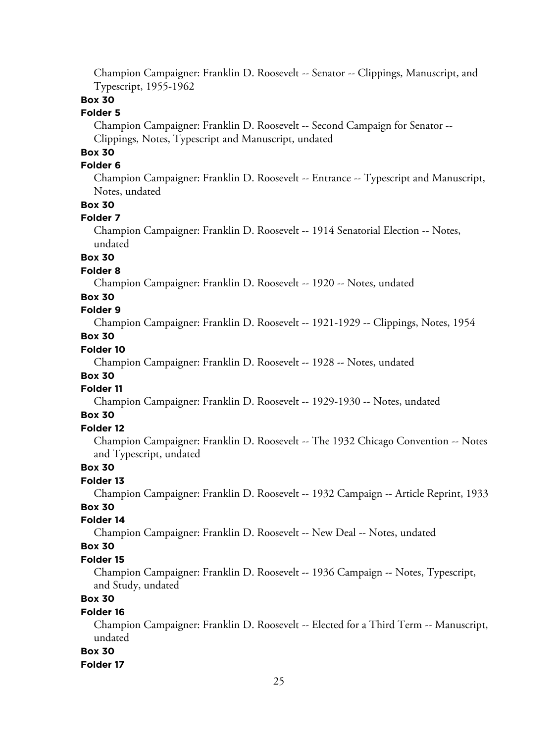Champion Campaigner: Franklin D. Roosevelt -- Senator -- Clippings, Manuscript, and Typescript, 1955-1962

## **Box 30**

#### **Folder 5**

Champion Campaigner: Franklin D. Roosevelt -- Second Campaign for Senator -- Clippings, Notes, Typescript and Manuscript, undated

# **Box 30**

## **Folder 6**

Champion Campaigner: Franklin D. Roosevelt -- Entrance -- Typescript and Manuscript, Notes, undated

#### **Box 30**

#### **Folder 7**

Champion Campaigner: Franklin D. Roosevelt -- 1914 Senatorial Election -- Notes, undated

## **Box 30**

#### **Folder 8**

Champion Campaigner: Franklin D. Roosevelt -- 1920 -- Notes, undated

#### **Box 30**

# **Folder 9**

Champion Campaigner: Franklin D. Roosevelt -- 1921-1929 -- Clippings, Notes, 1954

# **Box 30**

# **Folder 10**

Champion Campaigner: Franklin D. Roosevelt -- 1928 -- Notes, undated

# **Box 30**

# **Folder 11**

Champion Campaigner: Franklin D. Roosevelt -- 1929-1930 -- Notes, undated

#### **Box 30**

# **Folder 12**

Champion Campaigner: Franklin D. Roosevelt -- The 1932 Chicago Convention -- Notes and Typescript, undated

## **Box 30**

#### **Folder 13**

Champion Campaigner: Franklin D. Roosevelt -- 1932 Campaign -- Article Reprint, 1933

# **Box 30**

# **Folder 14**

Champion Campaigner: Franklin D. Roosevelt -- New Deal -- Notes, undated

#### **Box 30**

#### **Folder 15**

Champion Campaigner: Franklin D. Roosevelt -- 1936 Campaign -- Notes, Typescript, and Study, undated

# **Box 30**

#### **Folder 16**

Champion Campaigner: Franklin D. Roosevelt -- Elected for a Third Term -- Manuscript, undated

#### **Box 30**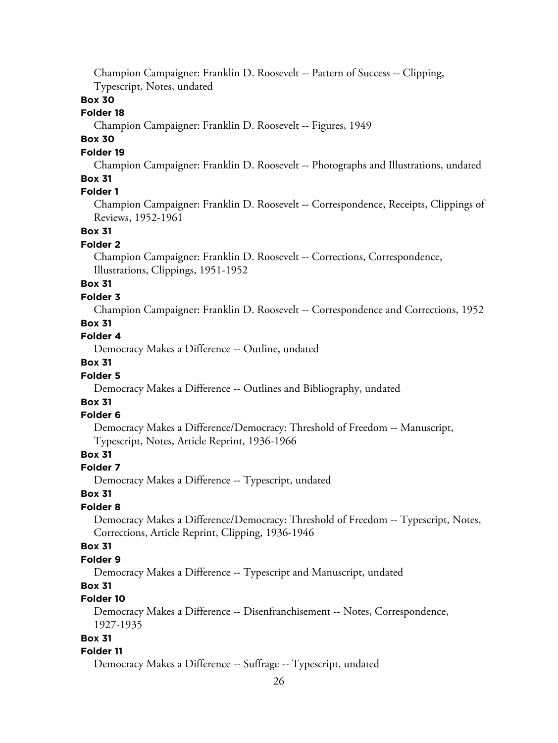Champion Campaigner: Franklin D. Roosevelt -- Pattern of Success -- Clipping, Typescript, Notes, undated

#### **Box 30**

#### **Folder 18**

Champion Campaigner: Franklin D. Roosevelt -- Figures, 1949

# **Box 30**

## **Folder 19**

Champion Campaigner: Franklin D. Roosevelt -- Photographs and Illustrations, undated **Box 31**

#### **Folder 1**

Champion Campaigner: Franklin D. Roosevelt -- Correspondence, Receipts, Clippings of Reviews, 1952-1961

#### **Box 31**

#### **Folder 2**

Champion Campaigner: Franklin D. Roosevelt -- Corrections, Correspondence, Illustrations, Clippings, 1951-1952

# **Box 31**

#### **Folder 3**

Champion Campaigner: Franklin D. Roosevelt -- Correspondence and Corrections, 1952

#### **Box 31**

#### **Folder 4**

Democracy Makes a Difference -- Outline, undated

## **Box 31**

#### **Folder 5**

Democracy Makes a Difference -- Outlines and Bibliography, undated

# **Box 31**

#### **Folder 6**

Democracy Makes a Difference/Democracy: Threshold of Freedom -- Manuscript, Typescript, Notes, Article Reprint, 1936-1966

## **Box 31**

#### **Folder 7**

Democracy Makes a Difference -- Typescript, undated

#### **Box 31**

#### **Folder 8**

Democracy Makes a Difference/Democracy: Threshold of Freedom -- Typescript, Notes, Corrections, Article Reprint, Clipping, 1936-1946

#### **Box 31**

#### **Folder 9**

Democracy Makes a Difference -- Typescript and Manuscript, undated

## **Box 31**

# **Folder 10**

Democracy Makes a Difference -- Disenfranchisement -- Notes, Correspondence, 1927-1935

#### **Box 31**

#### **Folder 11**

Democracy Makes a Difference -- Suffrage -- Typescript, undated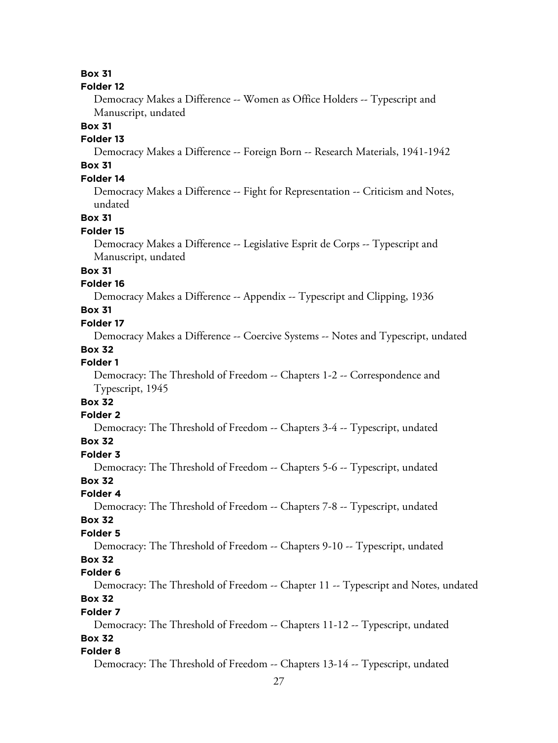#### **Box 31**

#### **Folder 12**

Democracy Makes a Difference -- Women as Office Holders -- Typescript and Manuscript, undated

#### **Box 31**

#### **Folder 13**

Democracy Makes a Difference -- Foreign Born -- Research Materials, 1941-1942

#### **Box 31 Folder 14**

Democracy Makes a Difference -- Fight for Representation -- Criticism and Notes, undated

#### **Box 31**

#### **Folder 15**

Democracy Makes a Difference -- Legislative Esprit de Corps -- Typescript and Manuscript, undated

## **Box 31**

#### **Folder 16**

Democracy Makes a Difference -- Appendix -- Typescript and Clipping, 1936

# **Box 31**

#### **Folder 17**

Democracy Makes a Difference -- Coercive Systems -- Notes and Typescript, undated **Box 32**

#### **Folder 1**

Democracy: The Threshold of Freedom -- Chapters 1-2 -- Correspondence and Typescript, 1945

# **Box 32**

# **Folder 2**

Democracy: The Threshold of Freedom -- Chapters 3-4 -- Typescript, undated **Box 32**

#### **Folder 3**

Democracy: The Threshold of Freedom -- Chapters 5-6 -- Typescript, undated

# **Box 32**

# **Folder 4**

Democracy: The Threshold of Freedom -- Chapters 7-8 -- Typescript, undated **Box 32**

# **Folder 5**

Democracy: The Threshold of Freedom -- Chapters 9-10 -- Typescript, undated

#### **Box 32**

#### **Folder 6**

Democracy: The Threshold of Freedom -- Chapter 11 -- Typescript and Notes, undated **Box 32**

#### **Folder 7**

Democracy: The Threshold of Freedom -- Chapters 11-12 -- Typescript, undated **Box 32**

#### **Folder 8**

Democracy: The Threshold of Freedom -- Chapters 13-14 -- Typescript, undated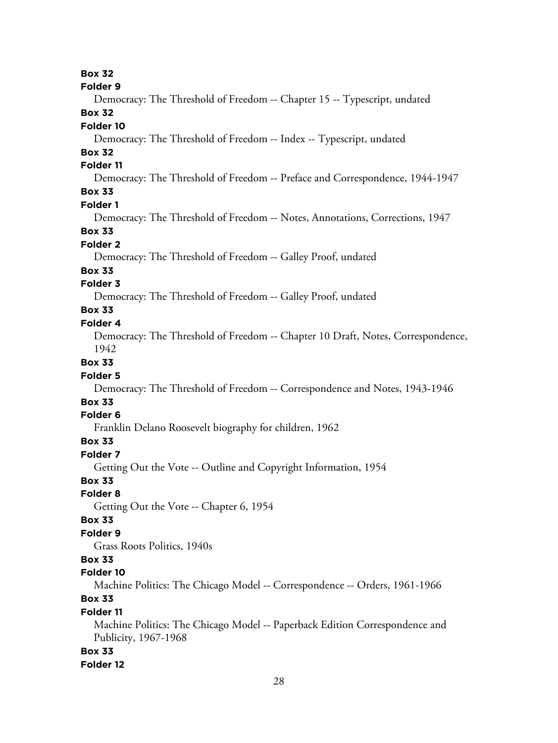**Box 32**

#### **Folder 9**

Democracy: The Threshold of Freedom -- Chapter 15 -- Typescript, undated

# **Box 32**

# **Folder 10**

Democracy: The Threshold of Freedom -- Index -- Typescript, undated

# **Box 32**

## **Folder 11**

Democracy: The Threshold of Freedom -- Preface and Correspondence, 1944-1947

#### **Box 33 Folder 1**

Democracy: The Threshold of Freedom -- Notes, Annotations, Corrections, 1947

#### **Box 33**

#### **Folder 2**

Democracy: The Threshold of Freedom -- Galley Proof, undated

#### **Box 33**

## **Folder 3**

Democracy: The Threshold of Freedom -- Galley Proof, undated

# **Box 33**

# **Folder 4**

Democracy: The Threshold of Freedom -- Chapter 10 Draft, Notes, Correspondence, 1942

## **Box 33**

## **Folder 5**

Democracy: The Threshold of Freedom -- Correspondence and Notes, 1943-1946

# **Box 33**

#### **Folder 6**

Franklin Delano Roosevelt biography for children, 1962

## **Box 33**

#### **Folder 7**

Getting Out the Vote -- Outline and Copyright Information, 1954

#### **Box 33**

## **Folder 8**

Getting Out the Vote -- Chapter 6, 1954

#### **Box 33**

# **Folder 9**

Grass Roots Politics, 1940s

## **Box 33**

## **Folder 10**

Machine Politics: The Chicago Model -- Correspondence -- Orders, 1961-1966

# **Box 33**

# **Folder 11**

Machine Politics: The Chicago Model -- Paperback Edition Correspondence and Publicity, 1967-1968

#### **Box 33**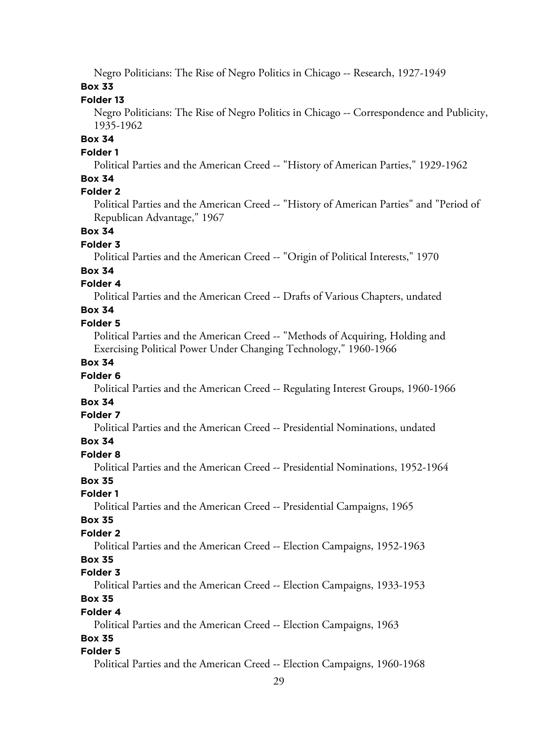Negro Politicians: The Rise of Negro Politics in Chicago -- Research, 1927-1949

#### **Box 33**

#### **Folder 13**

Negro Politicians: The Rise of Negro Politics in Chicago -- Correspondence and Publicity, 1935-1962

# **Box 34**

#### **Folder 1**

Political Parties and the American Creed -- "History of American Parties," 1929-1962

# **Box 34**

# **Folder 2**

Political Parties and the American Creed -- "History of American Parties" and "Period of Republican Advantage," 1967

## **Box 34**

#### **Folder 3**

Political Parties and the American Creed -- "Origin of Political Interests," 1970

#### **Box 34**

## **Folder 4**

Political Parties and the American Creed -- Drafts of Various Chapters, undated

# **Box 34**

## **Folder 5**

Political Parties and the American Creed -- "Methods of Acquiring, Holding and Exercising Political Power Under Changing Technology," 1960-1966

## **Box 34**

#### **Folder 6**

Political Parties and the American Creed -- Regulating Interest Groups, 1960-1966

# **Box 34**

## **Folder 7**

Political Parties and the American Creed -- Presidential Nominations, undated

#### **Box 34**

## **Folder 8**

Political Parties and the American Creed -- Presidential Nominations, 1952-1964

## **Box 35**

#### **Folder 1**

Political Parties and the American Creed -- Presidential Campaigns, 1965

#### **Box 35**

#### **Folder 2**

Political Parties and the American Creed -- Election Campaigns, 1952-1963

## **Box 35**

#### **Folder 3**

Political Parties and the American Creed -- Election Campaigns, 1933-1953

# **Box 35**

#### **Folder 4**

Political Parties and the American Creed -- Election Campaigns, 1963

#### **Box 35**

#### **Folder 5**

Political Parties and the American Creed -- Election Campaigns, 1960-1968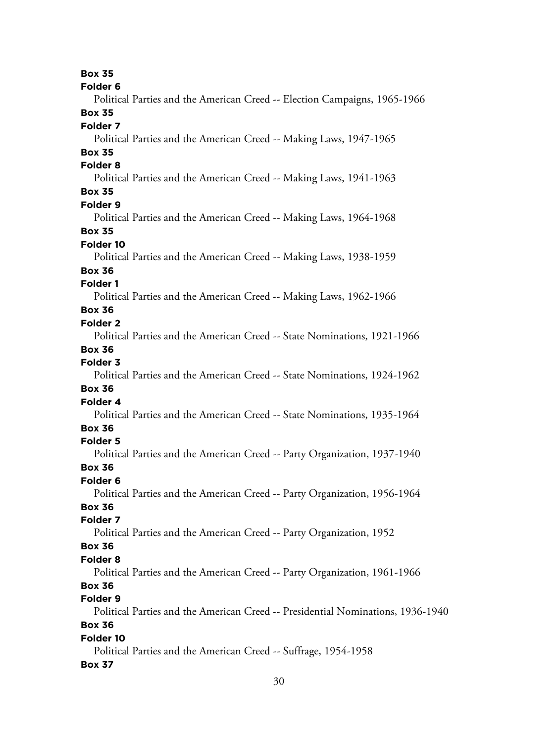**Box 35**

```
Folder 6
```
Political Parties and the American Creed -- Election Campaigns, 1965-1966 **Box 35**

#### **Folder 7**

Political Parties and the American Creed -- Making Laws, 1947-1965

# **Box 35**

## **Folder 8**

Political Parties and the American Creed -- Making Laws, 1941-1963

# **Box 35**

**Folder 9**

Political Parties and the American Creed -- Making Laws, 1964-1968 **Box 35**

## **Folder 10**

Political Parties and the American Creed -- Making Laws, 1938-1959

#### **Box 36**

#### **Folder 1**

Political Parties and the American Creed -- Making Laws, 1962-1966

# **Box 36**

#### **Folder 2**

Political Parties and the American Creed -- State Nominations, 1921-1966

#### **Box 36 Folder 3**

Political Parties and the American Creed -- State Nominations, 1924-1962

#### **Box 36**

#### **Folder 4**

Political Parties and the American Creed -- State Nominations, 1935-1964

# **Box 36**

#### **Folder 5**

Political Parties and the American Creed -- Party Organization, 1937-1940

## **Box 36**

# **Folder 6**

Political Parties and the American Creed -- Party Organization, 1956-1964

# **Box 36**

## **Folder 7**

Political Parties and the American Creed -- Party Organization, 1952

#### **Box 36**

## **Folder 8**

Political Parties and the American Creed -- Party Organization, 1961-1966

# **Box 36**

## **Folder 9**

Political Parties and the American Creed -- Presidential Nominations, 1936-1940

# **Box 36**

# **Folder 10**

Political Parties and the American Creed -- Suffrage, 1954-1958

## **Box 37**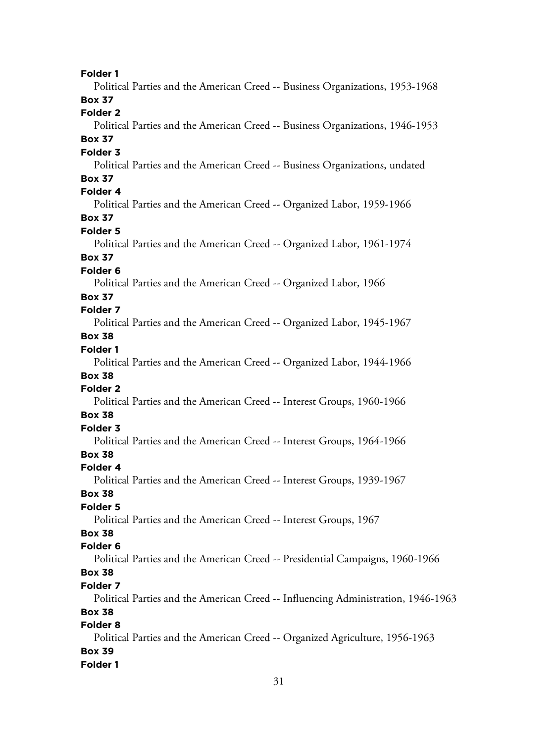**Folder 1**

Political Parties and the American Creed -- Business Organizations, 1953-1968 **Box 37**

#### **Folder 2**

Political Parties and the American Creed -- Business Organizations, 1946-1953

# **Box 37**

**Folder 3**

Political Parties and the American Creed -- Business Organizations, undated **Box 37**

## **Folder 4**

Political Parties and the American Creed -- Organized Labor, 1959-1966

## **Box 37**

## **Folder 5**

Political Parties and the American Creed -- Organized Labor, 1961-1974

# **Box 37**

# **Folder 6**

Political Parties and the American Creed -- Organized Labor, 1966

#### **Box 37**

## **Folder 7**

Political Parties and the American Creed -- Organized Labor, 1945-1967 **Box 38**

## **Folder 1**

Political Parties and the American Creed -- Organized Labor, 1944-1966

# **Box 38**

**Folder 2**

Political Parties and the American Creed -- Interest Groups, 1960-1966

# **Box 38**

**Folder 3**

Political Parties and the American Creed -- Interest Groups, 1964-1966

# **Box 38**

#### **Folder 4**

Political Parties and the American Creed -- Interest Groups, 1939-1967

#### **Box 38**

#### **Folder 5**

Political Parties and the American Creed -- Interest Groups, 1967

# **Box 38**

# **Folder 6**

Political Parties and the American Creed -- Presidential Campaigns, 1960-1966

# **Box 38**

#### **Folder 7**

Political Parties and the American Creed -- Influencing Administration, 1946-1963

#### **Box 38**

#### **Folder 8**

Political Parties and the American Creed -- Organized Agriculture, 1956-1963 **Box 39**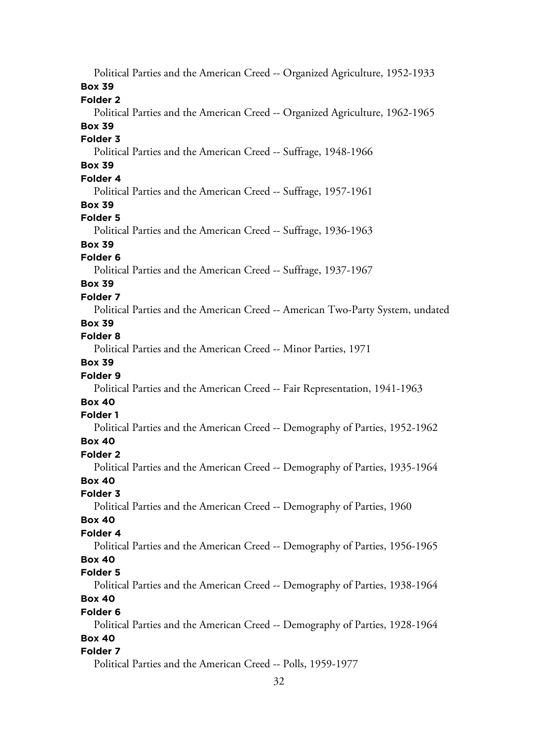32 Political Parties and the American Creed -- Organized Agriculture, 1952-1933 **Box 39 Folder 2** Political Parties and the American Creed -- Organized Agriculture, 1962-1965 **Box 39 Folder 3** Political Parties and the American Creed -- Suffrage, 1948-1966 **Box 39 Folder 4** Political Parties and the American Creed -- Suffrage, 1957-1961 **Box 39 Folder 5** Political Parties and the American Creed -- Suffrage, 1936-1963 **Box 39 Folder 6** Political Parties and the American Creed -- Suffrage, 1937-1967 **Box 39 Folder 7** Political Parties and the American Creed -- American Two-Party System, undated **Box 39 Folder 8** Political Parties and the American Creed -- Minor Parties, 1971 **Box 39 Folder 9** Political Parties and the American Creed -- Fair Representation, 1941-1963 **Box 40 Folder 1** Political Parties and the American Creed -- Demography of Parties, 1952-1962 **Box 40 Folder 2** Political Parties and the American Creed -- Demography of Parties, 1935-1964 **Box 40 Folder 3** Political Parties and the American Creed -- Demography of Parties, 1960 **Box 40 Folder 4** Political Parties and the American Creed -- Demography of Parties, 1956-1965 **Box 40 Folder 5** Political Parties and the American Creed -- Demography of Parties, 1938-1964 **Box 40 Folder 6** Political Parties and the American Creed -- Demography of Parties, 1928-1964 **Box 40 Folder 7** Political Parties and the American Creed -- Polls, 1959-1977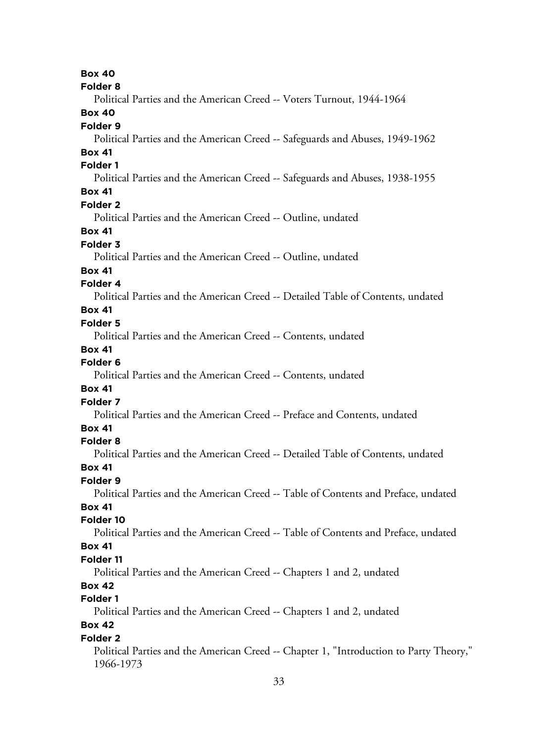**Box 40 Folder 8** Political Parties and the American Creed -- Voters Turnout, 1944-1964 **Box 40 Folder 9** Political Parties and the American Creed -- Safeguards and Abuses, 1949-1962 **Box 41 Folder 1** Political Parties and the American Creed -- Safeguards and Abuses, 1938-1955 **Box 41 Folder 2** Political Parties and the American Creed -- Outline, undated **Box 41 Folder 3** Political Parties and the American Creed -- Outline, undated **Box 41 Folder 4** Political Parties and the American Creed -- Detailed Table of Contents, undated **Box 41 Folder 5** Political Parties and the American Creed -- Contents, undated **Box 41**

# **Folder 6**

Political Parties and the American Creed -- Contents, undated

#### **Box 41**

# **Folder 7**

Political Parties and the American Creed -- Preface and Contents, undated

#### **Box 41**

#### **Folder 8**

Political Parties and the American Creed -- Detailed Table of Contents, undated

#### **Box 41**

## **Folder 9**

Political Parties and the American Creed -- Table of Contents and Preface, undated **Box 41**

#### **Folder 10**

Political Parties and the American Creed -- Table of Contents and Preface, undated

#### **Box 41**

## **Folder 11**

Political Parties and the American Creed -- Chapters 1 and 2, undated

# **Box 42**

# **Folder 1**

Political Parties and the American Creed -- Chapters 1 and 2, undated

# **Box 42**

#### **Folder 2**

Political Parties and the American Creed -- Chapter 1, "Introduction to Party Theory," 1966-1973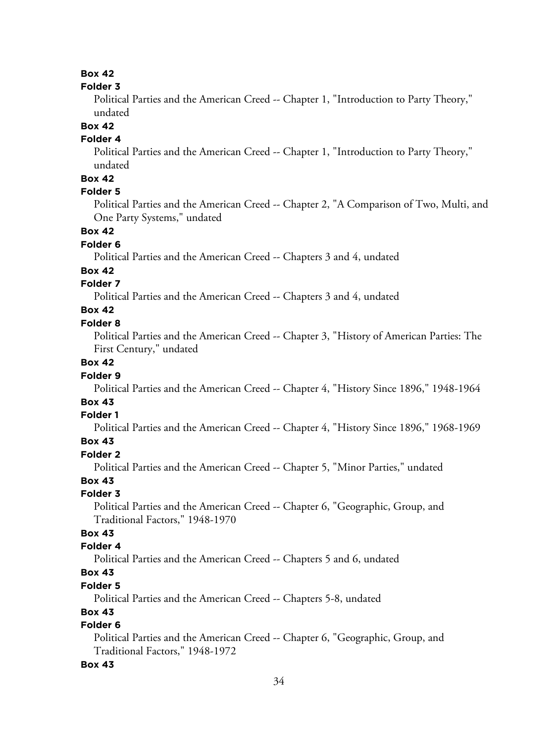# **Box 42**

#### **Folder 3**

Political Parties and the American Creed -- Chapter 1, "Introduction to Party Theory," undated

# **Box 42**

# **Folder 4**

Political Parties and the American Creed -- Chapter 1, "Introduction to Party Theory," undated

# **Box 42**

# **Folder 5**

Political Parties and the American Creed -- Chapter 2, "A Comparison of Two, Multi, and One Party Systems," undated

## **Box 42**

#### **Folder 6**

Political Parties and the American Creed -- Chapters 3 and 4, undated

#### **Box 42**

## **Folder 7**

Political Parties and the American Creed -- Chapters 3 and 4, undated

# **Box 42**

# **Folder 8**

Political Parties and the American Creed -- Chapter 3, "History of American Parties: The First Century," undated

## **Box 42**

#### **Folder 9**

Political Parties and the American Creed -- Chapter 4, "History Since 1896," 1948-1964

# **Box 43**

#### **Folder 1**

Political Parties and the American Creed -- Chapter 4, "History Since 1896," 1968-1969

## **Box 43**

# **Folder 2**

Political Parties and the American Creed -- Chapter 5, "Minor Parties," undated

## **Box 43**

#### **Folder 3**

Political Parties and the American Creed -- Chapter 6, "Geographic, Group, and Traditional Factors," 1948-1970

## **Box 43**

#### **Folder 4**

Political Parties and the American Creed -- Chapters 5 and 6, undated

# **Box 43**

# **Folder 5**

Political Parties and the American Creed -- Chapters 5-8, undated

#### **Box 43**

# **Folder 6**

Political Parties and the American Creed -- Chapter 6, "Geographic, Group, and Traditional Factors," 1948-1972

#### **Box 43**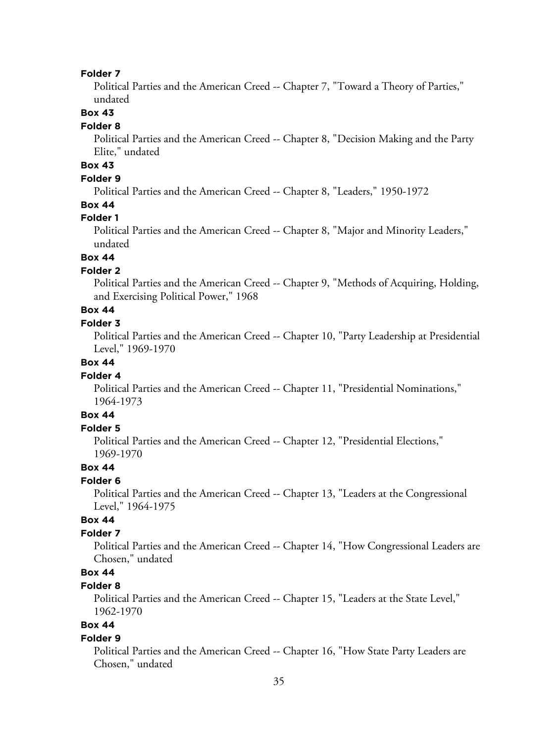#### **Folder 7**

Political Parties and the American Creed -- Chapter 7, "Toward a Theory of Parties," undated

#### **Box 43**

#### **Folder 8**

Political Parties and the American Creed -- Chapter 8, "Decision Making and the Party Elite," undated

# **Box 43**

#### **Folder 9**

Political Parties and the American Creed -- Chapter 8, "Leaders," 1950-1972

## **Box 44**

#### **Folder 1**

Political Parties and the American Creed -- Chapter 8, "Major and Minority Leaders," undated

# **Box 44**

#### **Folder 2**

Political Parties and the American Creed -- Chapter 9, "Methods of Acquiring, Holding, and Exercising Political Power," 1968

# **Box 44**

## **Folder 3**

Political Parties and the American Creed -- Chapter 10, "Party Leadership at Presidential Level," 1969-1970

#### **Box 44**

#### **Folder 4**

Political Parties and the American Creed -- Chapter 11, "Presidential Nominations," 1964-1973

# **Box 44**

#### **Folder 5**

Political Parties and the American Creed -- Chapter 12, "Presidential Elections," 1969-1970

## **Box 44**

## **Folder 6**

Political Parties and the American Creed -- Chapter 13, "Leaders at the Congressional Level," 1964-1975

#### **Box 44**

#### **Folder 7**

Political Parties and the American Creed -- Chapter 14, "How Congressional Leaders are Chosen," undated

# **Box 44**

#### **Folder 8**

Political Parties and the American Creed -- Chapter 15, "Leaders at the State Level," 1962-1970

# **Box 44**

#### **Folder 9**

Political Parties and the American Creed -- Chapter 16, "How State Party Leaders are Chosen," undated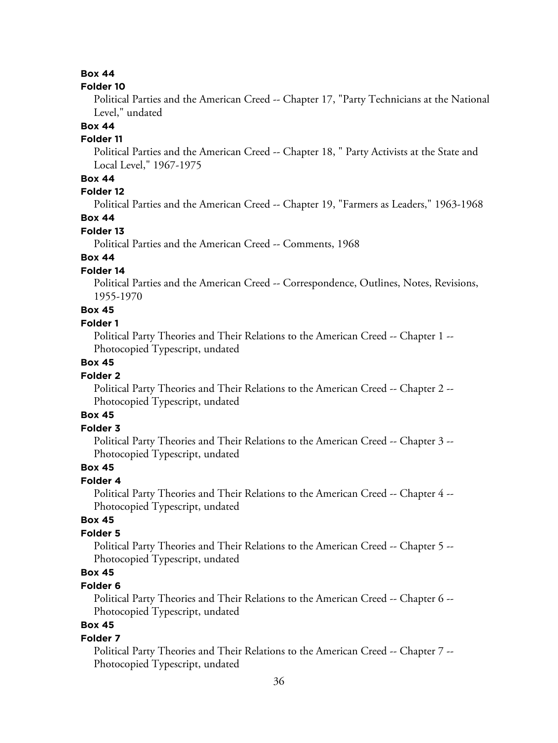## **Box 44**

#### **Folder 10**

Political Parties and the American Creed -- Chapter 17, "Party Technicians at the National Level," undated

## **Box 44**

#### **Folder 11**

Political Parties and the American Creed -- Chapter 18, " Party Activists at the State and Local Level," 1967-1975

# **Box 44**

# **Folder 12**

Political Parties and the American Creed -- Chapter 19, "Farmers as Leaders," 1963-1968

#### **Box 44 Folder 13**

Political Parties and the American Creed -- Comments, 1968

#### **Box 44**

#### **Folder 14**

Political Parties and the American Creed -- Correspondence, Outlines, Notes, Revisions, 1955-1970

## **Box 45**

#### **Folder 1**

Political Party Theories and Their Relations to the American Creed -- Chapter 1 -- Photocopied Typescript, undated

## **Box 45**

## **Folder 2**

Political Party Theories and Their Relations to the American Creed -- Chapter 2 -- Photocopied Typescript, undated

# **Box 45**

#### **Folder 3**

Political Party Theories and Their Relations to the American Creed -- Chapter 3 -- Photocopied Typescript, undated

## **Box 45**

#### **Folder 4**

Political Party Theories and Their Relations to the American Creed -- Chapter 4 -- Photocopied Typescript, undated

## **Box 45**

#### **Folder 5**

Political Party Theories and Their Relations to the American Creed -- Chapter 5 -- Photocopied Typescript, undated

# **Box 45**

## **Folder 6**

Political Party Theories and Their Relations to the American Creed -- Chapter 6 -- Photocopied Typescript, undated

# **Box 45**

#### **Folder 7**

Political Party Theories and Their Relations to the American Creed -- Chapter 7 -- Photocopied Typescript, undated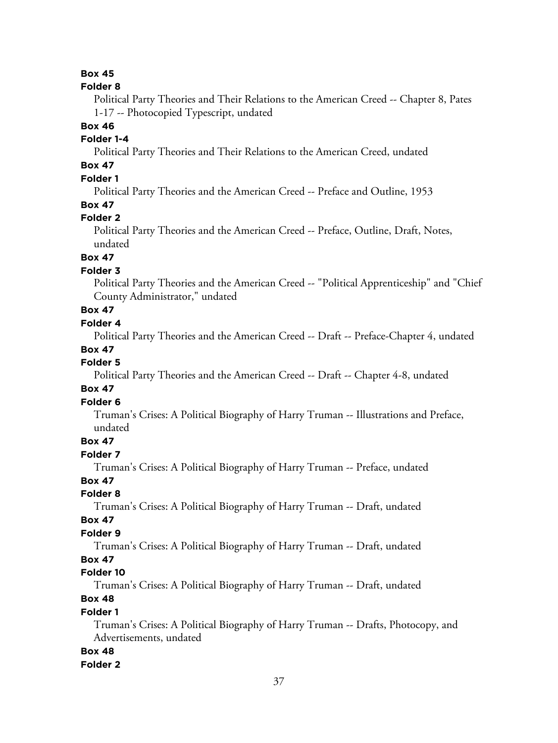## **Box 45**

#### **Folder 8**

Political Party Theories and Their Relations to the American Creed -- Chapter 8, Pates 1-17 -- Photocopied Typescript, undated

#### **Box 46**

### **Folder 1-4**

Political Party Theories and Their Relations to the American Creed, undated

# **Box 47**

# **Folder 1**

Political Party Theories and the American Creed -- Preface and Outline, 1953

#### **Box 47**

#### **Folder 2**

Political Party Theories and the American Creed -- Preface, Outline, Draft, Notes, undated

## **Box 47**

#### **Folder 3**

Political Party Theories and the American Creed -- "Political Apprenticeship" and "Chief County Administrator," undated

## **Box 47**

### **Folder 4**

Political Party Theories and the American Creed -- Draft -- Preface-Chapter 4, undated

### **Box 47**

### **Folder 5**

Political Party Theories and the American Creed -- Draft -- Chapter 4-8, undated

#### **Box 47**

#### **Folder 6**

Truman's Crises: A Political Biography of Harry Truman -- Illustrations and Preface, undated

## **Box 47**

## **Folder 7**

Truman's Crises: A Political Biography of Harry Truman -- Preface, undated

### **Box 47**

#### **Folder 8**

Truman's Crises: A Political Biography of Harry Truman -- Draft, undated

#### **Box 47**

### **Folder 9**

Truman's Crises: A Political Biography of Harry Truman -- Draft, undated

### **Box 47**

#### **Folder 10**

Truman's Crises: A Political Biography of Harry Truman -- Draft, undated

## **Box 48**

### **Folder 1**

Truman's Crises: A Political Biography of Harry Truman -- Drafts, Photocopy, and Advertisements, undated

## **Box 48**

#### **Folder 2**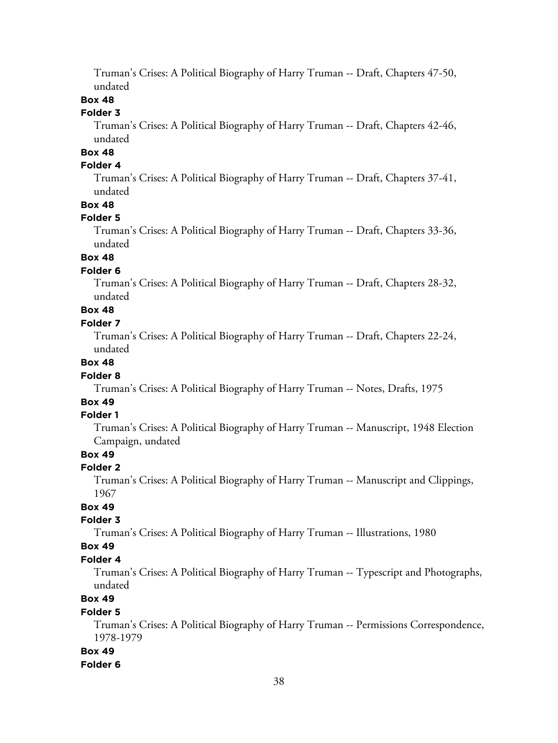Truman's Crises: A Political Biography of Harry Truman -- Draft, Chapters 47-50, undated

## **Box 48**

#### **Folder 3**

Truman's Crises: A Political Biography of Harry Truman -- Draft, Chapters 42-46, undated

# **Box 48**

### **Folder 4**

Truman's Crises: A Political Biography of Harry Truman -- Draft, Chapters 37-41, undated

### **Box 48**

#### **Folder 5**

Truman's Crises: A Political Biography of Harry Truman -- Draft, Chapters 33-36, undated

## **Box 48**

#### **Folder 6**

Truman's Crises: A Political Biography of Harry Truman -- Draft, Chapters 28-32, undated

## **Box 48**

#### **Folder 7**

Truman's Crises: A Political Biography of Harry Truman -- Draft, Chapters 22-24, undated

#### **Box 48**

#### **Folder 8**

Truman's Crises: A Political Biography of Harry Truman -- Notes, Drafts, 1975

## **Box 49**

#### **Folder 1**

Truman's Crises: A Political Biography of Harry Truman -- Manuscript, 1948 Election Campaign, undated

## **Box 49**

#### **Folder 2**

Truman's Crises: A Political Biography of Harry Truman -- Manuscript and Clippings, 1967

#### **Box 49**

#### **Folder 3**

Truman's Crises: A Political Biography of Harry Truman -- Illustrations, 1980

#### **Box 49**

#### **Folder 4**

Truman's Crises: A Political Biography of Harry Truman -- Typescript and Photographs, undated

## **Box 49**

#### **Folder 5**

Truman's Crises: A Political Biography of Harry Truman -- Permissions Correspondence, 1978-1979

#### **Box 49**

#### **Folder 6**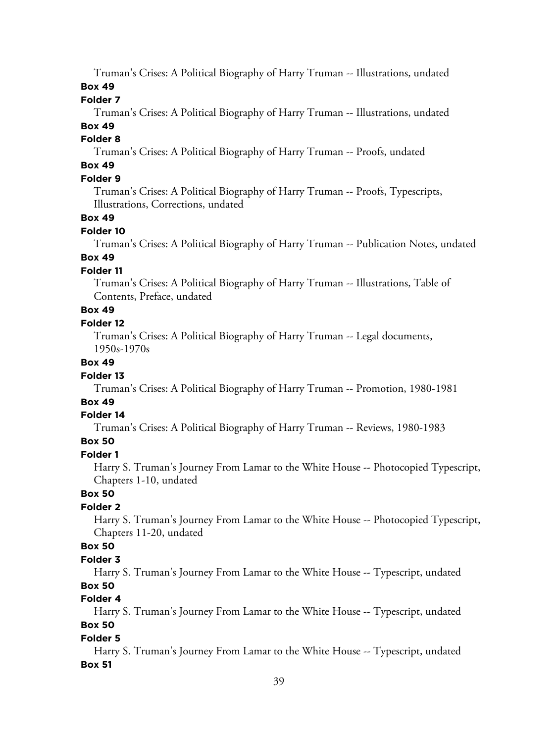Truman's Crises: A Political Biography of Harry Truman -- Illustrations, undated **Box 49**

**Folder 7**

Truman's Crises: A Political Biography of Harry Truman -- Illustrations, undated

## **Box 49**

## **Folder 8**

Truman's Crises: A Political Biography of Harry Truman -- Proofs, undated

# **Box 49**

### **Folder 9**

Truman's Crises: A Political Biography of Harry Truman -- Proofs, Typescripts, Illustrations, Corrections, undated

### **Box 49**

### **Folder 10**

Truman's Crises: A Political Biography of Harry Truman -- Publication Notes, undated

## **Box 49**

### **Folder 11**

Truman's Crises: A Political Biography of Harry Truman -- Illustrations, Table of Contents, Preface, undated

## **Box 49**

#### **Folder 12**

Truman's Crises: A Political Biography of Harry Truman -- Legal documents, 1950s-1970s

#### **Box 49**

### **Folder 13**

Truman's Crises: A Political Biography of Harry Truman -- Promotion, 1980-1981

## **Box 49**

### **Folder 14**

Truman's Crises: A Political Biography of Harry Truman -- Reviews, 1980-1983

### **Box 50**

#### **Folder 1**

Harry S. Truman's Journey From Lamar to the White House -- Photocopied Typescript, Chapters 1-10, undated

# **Box 50**

### **Folder 2**

Harry S. Truman's Journey From Lamar to the White House -- Photocopied Typescript, Chapters 11-20, undated

### **Box 50**

### **Folder 3**

Harry S. Truman's Journey From Lamar to the White House -- Typescript, undated **Box 50**

## **Folder 4**

Harry S. Truman's Journey From Lamar to the White House -- Typescript, undated **Box 50**

# **Folder 5**

Harry S. Truman's Journey From Lamar to the White House -- Typescript, undated **Box 51**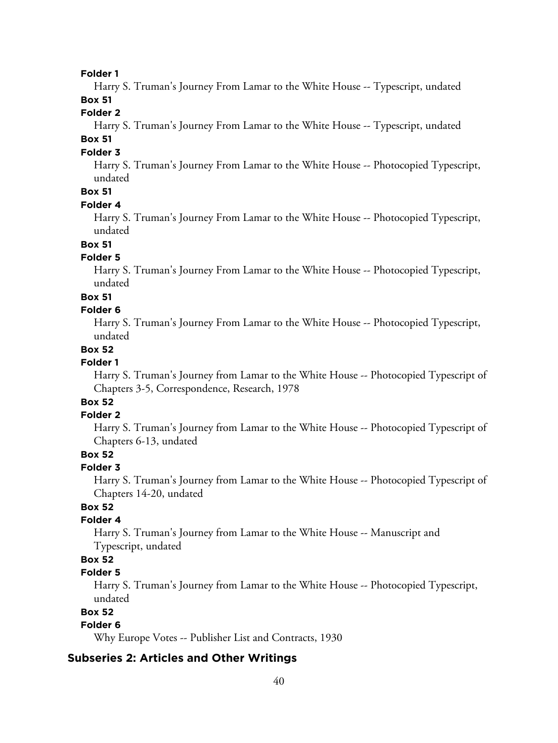#### **Folder 1**

Harry S. Truman's Journey From Lamar to the White House -- Typescript, undated **Box 51**

# **Folder 2**

Harry S. Truman's Journey From Lamar to the White House -- Typescript, undated

#### **Box 51**

#### **Folder 3**

Harry S. Truman's Journey From Lamar to the White House -- Photocopied Typescript, undated

## **Box 51**

### **Folder 4**

Harry S. Truman's Journey From Lamar to the White House -- Photocopied Typescript, undated

### **Box 51**

#### **Folder 5**

Harry S. Truman's Journey From Lamar to the White House -- Photocopied Typescript, undated

#### **Box 51**

#### **Folder 6**

Harry S. Truman's Journey From Lamar to the White House -- Photocopied Typescript, undated

#### **Box 52**

#### **Folder 1**

Harry S. Truman's Journey from Lamar to the White House -- Photocopied Typescript of Chapters 3-5, Correspondence, Research, 1978

# **Box 52**

#### **Folder 2**

Harry S. Truman's Journey from Lamar to the White House -- Photocopied Typescript of Chapters 6-13, undated

### **Box 52**

#### **Folder 3**

Harry S. Truman's Journey from Lamar to the White House -- Photocopied Typescript of Chapters 14-20, undated

## **Box 52**

### **Folder 4**

Harry S. Truman's Journey from Lamar to the White House -- Manuscript and Typescript, undated

### **Box 52**

#### **Folder 5**

Harry S. Truman's Journey from Lamar to the White House -- Photocopied Typescript, undated

#### **Box 52**

#### **Folder 6**

Why Europe Votes -- Publisher List and Contracts, 1930

## **Subseries 2: Articles and Other Writings**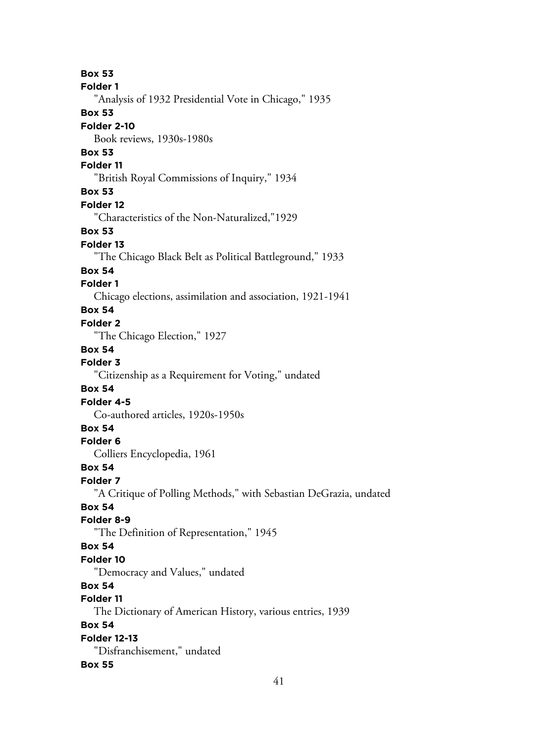**Box 53 Folder 1** "Analysis of 1932 Presidential Vote in Chicago," 1935 **Box 53 Folder 2-10** Book reviews, 1930s-1980s **Box 53 Folder 11** "British Royal Commissions of Inquiry," 1934 **Box 53 Folder 12** "Characteristics of the Non-Naturalized,"1929 **Box 53 Folder 13** "The Chicago Black Belt as Political Battleground," 1933 **Box 54 Folder 1** Chicago elections, assimilation and association, 1921-1941 **Box 54 Folder 2** "The Chicago Election," 1927 **Box 54 Folder 3** "Citizenship as a Requirement for Voting," undated **Box 54 Folder 4-5** Co-authored articles, 1920s-1950s **Box 54 Folder 6** Colliers Encyclopedia, 1961 **Box 54 Folder 7** "A Critique of Polling Methods," with Sebastian DeGrazia, undated **Box 54 Folder 8-9** "The Definition of Representation," 1945 **Box 54 Folder 10** "Democracy and Values," undated **Box 54 Folder 11** The Dictionary of American History, various entries, 1939 **Box 54 Folder 12-13** "Disfranchisement," undated **Box 55**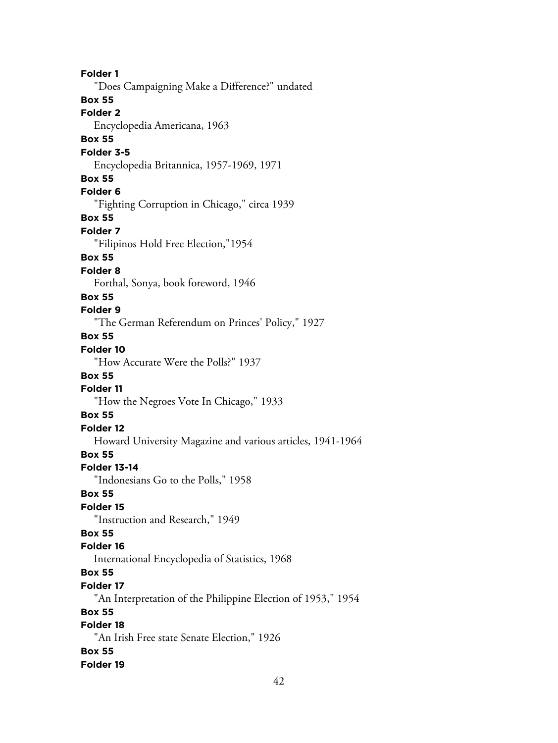**Folder 1** "Does Campaigning Make a Difference?" undated **Box 55 Folder 2** Encyclopedia Americana, 1963 **Box 55 Folder 3-5** Encyclopedia Britannica, 1957-1969, 1971 **Box 55 Folder 6** "Fighting Corruption in Chicago," circa 1939 **Box 55 Folder 7** "Filipinos Hold Free Election,"1954 **Box 55 Folder 8** Forthal, Sonya, book foreword, 1946 **Box 55 Folder 9** "The German Referendum on Princes' Policy," 1927 **Box 55 Folder 10** "How Accurate Were the Polls?" 1937 **Box 55 Folder 11** "How the Negroes Vote In Chicago," 1933 **Box 55 Folder 12** Howard University Magazine and various articles, 1941-1964 **Box 55 Folder 13-14** "Indonesians Go to the Polls," 1958 **Box 55 Folder 15** "Instruction and Research," 1949 **Box 55 Folder 16** International Encyclopedia of Statistics, 1968 **Box 55 Folder 17** "An Interpretation of the Philippine Election of 1953," 1954 **Box 55 Folder 18** "An Irish Free state Senate Election," 1926 **Box 55 Folder 19**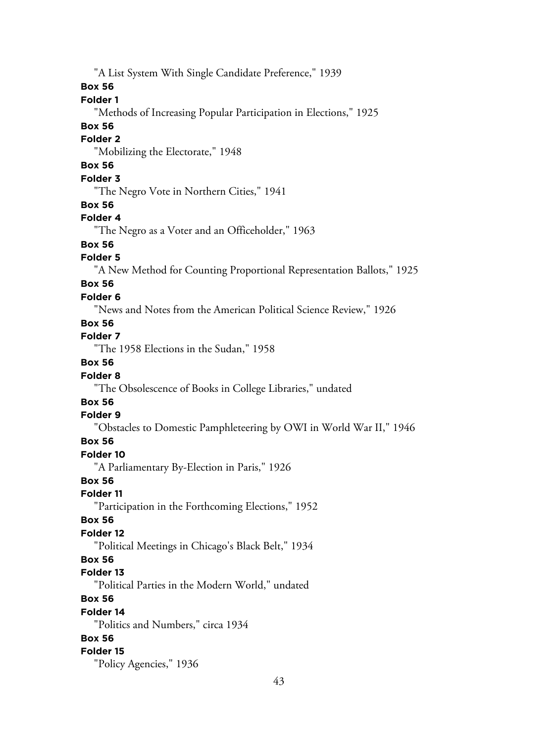43 "A List System With Single Candidate Preference," 1939 **Box 56 Folder 1** "Methods of Increasing Popular Participation in Elections," 1925 **Box 56 Folder 2** "Mobilizing the Electorate," 1948 **Box 56 Folder 3** "The Negro Vote in Northern Cities," 1941 **Box 56 Folder 4** "The Negro as a Voter and an Officeholder," 1963 **Box 56 Folder 5** "A New Method for Counting Proportional Representation Ballots," 1925 **Box 56 Folder 6** "News and Notes from the American Political Science Review," 1926 **Box 56 Folder 7** "The 1958 Elections in the Sudan," 1958 **Box 56 Folder 8** "The Obsolescence of Books in College Libraries," undated **Box 56 Folder 9** "Obstacles to Domestic Pamphleteering by OWI in World War II," 1946 **Box 56 Folder 10** "A Parliamentary By-Election in Paris," 1926 **Box 56 Folder 11** "Participation in the Forthcoming Elections," 1952 **Box 56 Folder 12** "Political Meetings in Chicago's Black Belt," 1934 **Box 56 Folder 13** "Political Parties in the Modern World," undated **Box 56 Folder 14** "Politics and Numbers," circa 1934 **Box 56 Folder 15** "Policy Agencies," 1936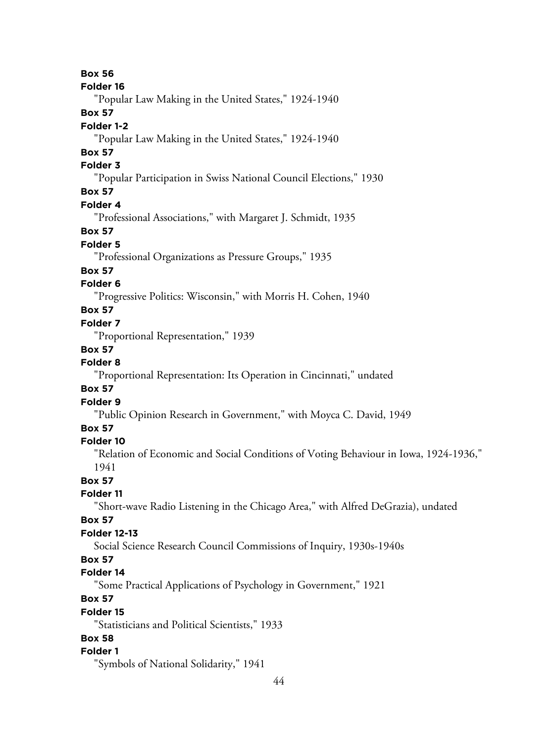**Box 56 Folder 16** "Popular Law Making in the United States," 1924-1940 **Box 57 Folder 1-2** "Popular Law Making in the United States," 1924-1940 **Box 57 Folder 3** "Popular Participation in Swiss National Council Elections," 1930 **Box 57 Folder 4** "Professional Associations," with Margaret J. Schmidt, 1935 **Box 57 Folder 5** "Professional Organizations as Pressure Groups," 1935 **Box 57 Folder 6** "Progressive Politics: Wisconsin," with Morris H. Cohen, 1940 **Box 57 Folder 7** "Proportional Representation," 1939 **Box 57 Folder 8** "Proportional Representation: Its Operation in Cincinnati," undated **Box 57 Folder 9** "Public Opinion Research in Government," with Moyca C. David, 1949 **Box 57 Folder 10** "Relation of Economic and Social Conditions of Voting Behaviour in Iowa, 1924-1936," 1941 **Box 57 Folder 11** "Short-wave Radio Listening in the Chicago Area," with Alfred DeGrazia), undated **Box 57 Folder 12-13** Social Science Research Council Commissions of Inquiry, 1930s-1940s **Box 57 Folder 14** "Some Practical Applications of Psychology in Government," 1921 **Box 57 Folder 15**

"Statisticians and Political Scientists," 1933

#### **Box 58**

#### **Folder 1**

"Symbols of National Solidarity," 1941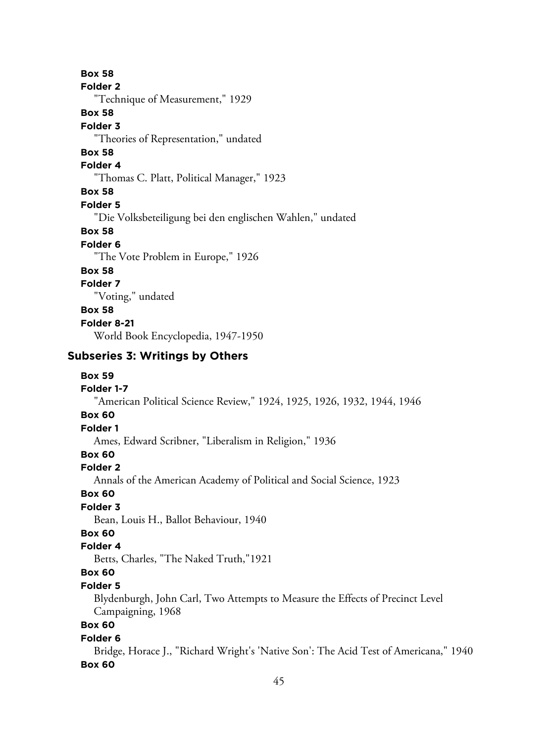**Box 58 Folder 2**

"Technique of Measurement," 1929

## **Box 58**

#### **Folder 3**

"Theories of Representation," undated

## **Box 58**

### **Folder 4**

"Thomas C. Platt, Political Manager," 1923

### **Box 58**

**Folder 5**

"Die Volksbeteiligung bei den englischen Wahlen," undated

### **Box 58**

#### **Folder 6**

"The Vote Problem in Europe," 1926

### **Box 58**

**Folder 7**

"Voting," undated

## **Box 58**

#### **Folder 8-21**

World Book Encyclopedia, 1947-1950

## **Subseries 3: Writings by Others**

## **Box 59**

### **Folder 1-7**

"American Political Science Review," 1924, 1925, 1926, 1932, 1944, 1946

## **Box 60**

## **Folder 1**

Ames, Edward Scribner, "Liberalism in Religion," 1936

## **Box 60**

### **Folder 2**

Annals of the American Academy of Political and Social Science, 1923

### **Box 60**

## **Folder 3**

Bean, Louis H., Ballot Behaviour, 1940

## **Box 60**

### **Folder 4**

Betts, Charles, "The Naked Truth,"1921

## **Box 60**

### **Folder 5**

Blydenburgh, John Carl, Two Attempts to Measure the Effects of Precinct Level Campaigning, 1968

## **Box 60**

### **Folder 6**

Bridge, Horace J., "Richard Wright's 'Native Son': The Acid Test of Americana," 1940 **Box 60**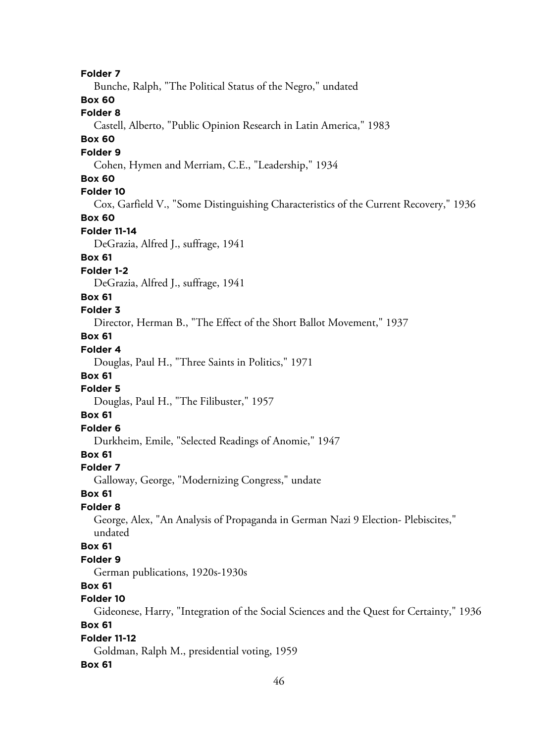**Folder 7** Bunche, Ralph, "The Political Status of the Negro," undated **Box 60 Folder 8** Castell, Alberto, "Public Opinion Research in Latin America," 1983 **Box 60 Folder 9** Cohen, Hymen and Merriam, C.E., "Leadership," 1934 **Box 60 Folder 10** Cox, Garfield V., "Some Distinguishing Characteristics of the Current Recovery," 1936 **Box 60 Folder 11-14** DeGrazia, Alfred J., suffrage, 1941 **Box 61 Folder 1-2** DeGrazia, Alfred J., suffrage, 1941 **Box 61 Folder 3** Director, Herman B., "The Effect of the Short Ballot Movement," 1937 **Box 61 Folder 4** Douglas, Paul H., "Three Saints in Politics," 1971 **Box 61 Folder 5** Douglas, Paul H., "The Filibuster," 1957 **Box 61 Folder 6** Durkheim, Emile, "Selected Readings of Anomie," 1947 **Box 61 Folder 7** Galloway, George, "Modernizing Congress," undate **Box 61 Folder 8** George, Alex, "An Analysis of Propaganda in German Nazi 9 Election- Plebiscites," undated **Box 61 Folder 9** German publications, 1920s-1930s **Box 61 Folder 10** Gideonese, Harry, "Integration of the Social Sciences and the Quest for Certainty," 1936 **Box 61 Folder 11-12** Goldman, Ralph M., presidential voting, 1959 **Box 61**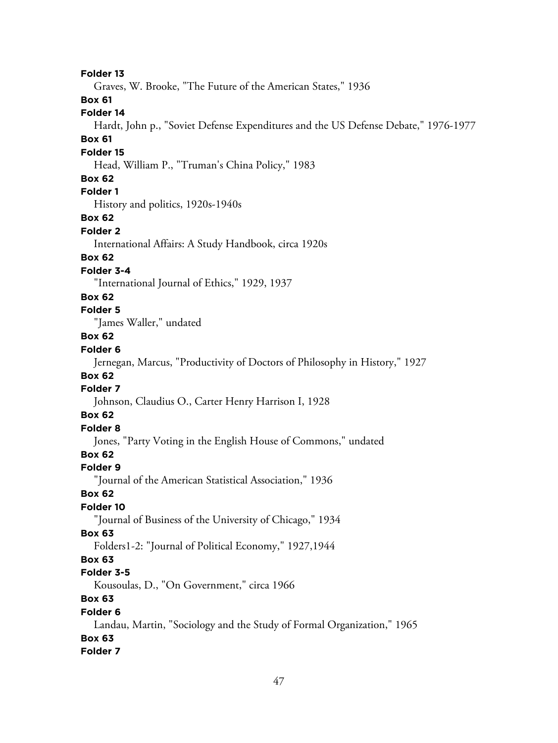**Folder 13** Graves, W. Brooke, "The Future of the American States," 1936 **Box 61 Folder 14** Hardt, John p., "Soviet Defense Expenditures and the US Defense Debate," 1976-1977 **Box 61 Folder 15** Head, William P., "Truman's China Policy," 1983 **Box 62 Folder 1** History and politics, 1920s-1940s **Box 62 Folder 2** International Affairs: A Study Handbook, circa 1920s **Box 62 Folder 3-4** "International Journal of Ethics," 1929, 1937 **Box 62 Folder 5** "James Waller," undated **Box 62 Folder 6** Jernegan, Marcus, "Productivity of Doctors of Philosophy in History," 1927 **Box 62 Folder 7** Johnson, Claudius O., Carter Henry Harrison I, 1928 **Box 62 Folder 8** Jones, "Party Voting in the English House of Commons," undated **Box 62 Folder 9** "Journal of the American Statistical Association," 1936 **Box 62 Folder 10** "Journal of Business of the University of Chicago," 1934 **Box 63** Folders1-2: "Journal of Political Economy," 1927,1944 **Box 63 Folder 3-5** Kousoulas, D., "On Government," circa 1966 **Box 63 Folder 6** Landau, Martin, "Sociology and the Study of Formal Organization," 1965 **Box 63 Folder 7**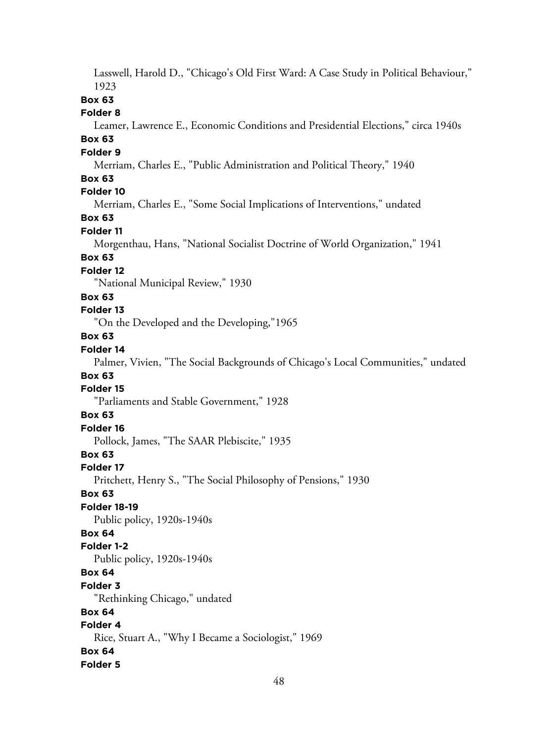Lasswell, Harold D., "Chicago's Old First Ward: A Case Study in Political Behaviour," 1923

### **Box 63**

#### **Folder 8**

Leamer, Lawrence E., Economic Conditions and Presidential Elections," circa 1940s

# **Box 63**

# **Folder 9**

Merriam, Charles E., "Public Administration and Political Theory," 1940

#### **Box 63**

#### **Folder 10**

Merriam, Charles E., "Some Social Implications of Interventions," undated

### **Box 63**

#### **Folder 11**

Morgenthau, Hans, "National Socialist Doctrine of World Organization," 1941

### **Box 63**

#### **Folder 12**

"National Municipal Review," 1930

#### **Box 63**

## **Folder 13**

"On the Developed and the Developing,"1965

### **Box 63**

#### **Folder 14**

Palmer, Vivien, "The Social Backgrounds of Chicago's Local Communities," undated

#### **Box 63**

## **Folder 15**

"Parliaments and Stable Government," 1928

#### **Box 63**

#### **Folder 16**

Pollock, James, "The SAAR Plebiscite," 1935

### **Box 63**

#### **Folder 17**

Pritchett, Henry S., "The Social Philosophy of Pensions," 1930

#### **Box 63**

#### **Folder 18-19**

Public policy, 1920s-1940s

## **Box 64**

#### **Folder 1-2**

Public policy, 1920s-1940s

#### **Box 64**

#### **Folder 3**

"Rethinking Chicago," undated

#### **Box 64**

### **Folder 4**

Rice, Stuart A., "Why I Became a Sociologist," 1969

# **Box 64**

#### **Folder 5**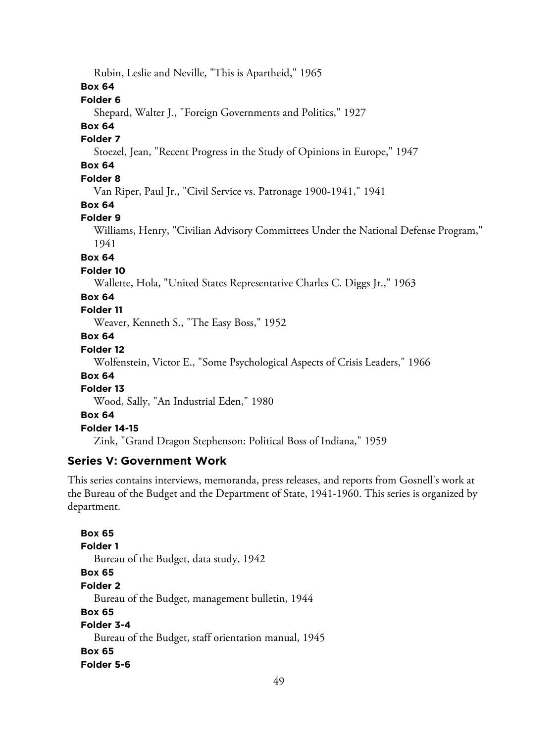Rubin, Leslie and Neville, "This is Apartheid," 1965

#### **Box 64**

#### **Folder 6**

Shepard, Walter J., "Foreign Governments and Politics," 1927

#### **Box 64**

#### **Folder 7**

Stoezel, Jean, "Recent Progress in the Study of Opinions in Europe," 1947

## **Box 64**

## **Folder 8**

Van Riper, Paul Jr., "Civil Service vs. Patronage 1900-1941," 1941

#### **Box 64**

#### **Folder 9**

Williams, Henry, "Civilian Advisory Committees Under the National Defense Program," 1941

#### **Box 64**

#### **Folder 10**

Wallette, Hola, "United States Representative Charles C. Diggs Jr.," 1963

#### **Box 64**

### **Folder 11**

Weaver, Kenneth S., "The Easy Boss," 1952

## **Box 64**

### **Folder 12**

Wolfenstein, Victor E., "Some Psychological Aspects of Crisis Leaders," 1966

#### **Box 64**

#### **Folder 13**

Wood, Sally, "An Industrial Eden," 1980

## **Box 64**

### **Folder 14-15**

Zink, "Grand Dragon Stephenson: Political Boss of Indiana," 1959

#### **Series V: Government Work**

This series contains interviews, memoranda, press releases, and reports from Gosnell's work at the Bureau of the Budget and the Department of State, 1941-1960. This series is organized by department.

## **Box 65 Folder 1** Bureau of the Budget, data study, 1942 **Box 65 Folder 2** Bureau of the Budget, management bulletin, 1944 **Box 65 Folder 3-4** Bureau of the Budget, staff orientation manual, 1945 **Box 65 Folder 5-6**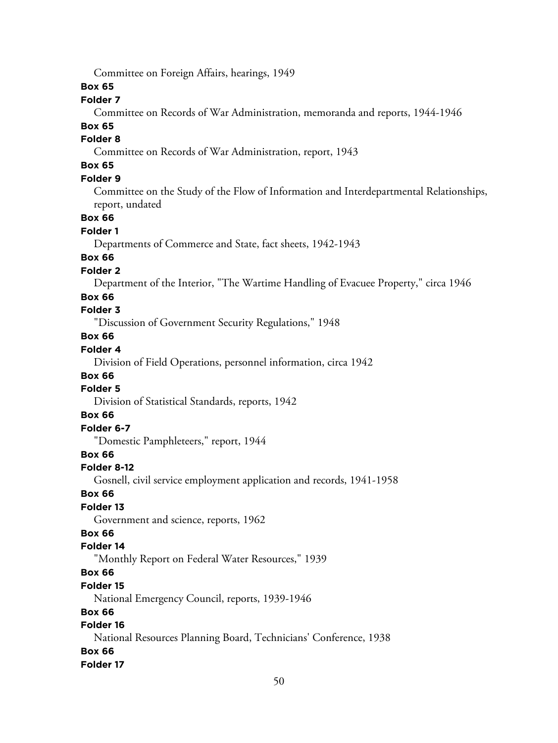Committee on Foreign Affairs, hearings, 1949

**Box 65**

## **Folder 7**

Committee on Records of War Administration, memoranda and reports, 1944-1946

## **Box 65**

## **Folder 8**

Committee on Records of War Administration, report, 1943

## **Box 65**

#### **Folder 9**

Committee on the Study of the Flow of Information and Interdepartmental Relationships, report, undated

#### **Box 66**

#### **Folder 1**

Departments of Commerce and State, fact sheets, 1942-1943

#### **Box 66**

#### **Folder 2**

Department of the Interior, "The Wartime Handling of Evacuee Property," circa 1946

#### **Box 66**

### **Folder 3**

"Discussion of Government Security Regulations," 1948

## **Box 66**

## **Folder 4**

Division of Field Operations, personnel information, circa 1942

### **Box 66**

## **Folder 5**

Division of Statistical Standards, reports, 1942

#### **Box 66**

### **Folder 6-7**

"Domestic Pamphleteers," report, 1944

## **Box 66**

#### **Folder 8-12**

Gosnell, civil service employment application and records, 1941-1958

#### **Box 66**

### **Folder 13**

Government and science, reports, 1962

#### **Box 66**

#### **Folder 14**

"Monthly Report on Federal Water Resources," 1939

## **Box 66**

#### **Folder 15**

National Emergency Council, reports, 1939-1946

#### **Box 66**

## **Folder 16**

National Resources Planning Board, Technicians' Conference, 1938

#### **Box 66**

#### **Folder 17**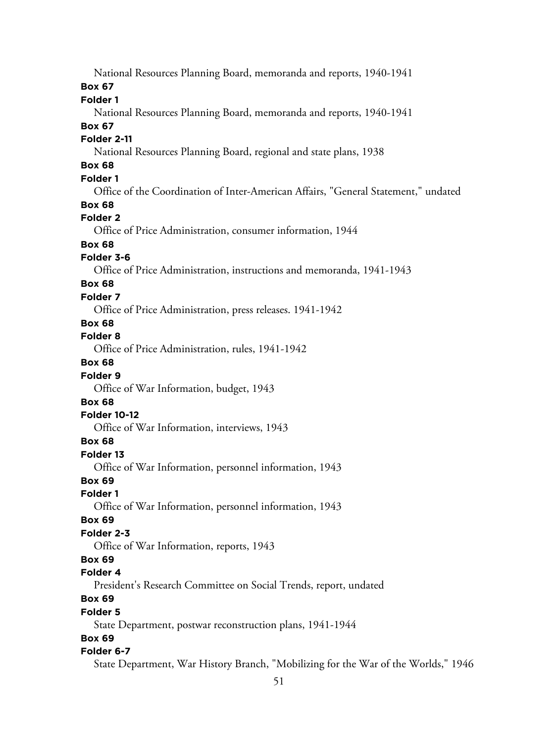51 National Resources Planning Board, memoranda and reports, 1940-1941 **Box 67 Folder 1** National Resources Planning Board, memoranda and reports, 1940-1941 **Box 67 Folder 2-11** National Resources Planning Board, regional and state plans, 1938 **Box 68 Folder 1** Office of the Coordination of Inter-American Affairs, "General Statement," undated **Box 68 Folder 2** Office of Price Administration, consumer information, 1944 **Box 68 Folder 3-6** Office of Price Administration, instructions and memoranda, 1941-1943 **Box 68 Folder 7** Office of Price Administration, press releases. 1941-1942 **Box 68 Folder 8** Office of Price Administration, rules, 1941-1942 **Box 68 Folder 9** Office of War Information, budget, 1943 **Box 68 Folder 10-12** Office of War Information, interviews, 1943 **Box 68 Folder 13** Office of War Information, personnel information, 1943 **Box 69 Folder 1** Office of War Information, personnel information, 1943 **Box 69 Folder 2-3** Office of War Information, reports, 1943 **Box 69 Folder 4** President's Research Committee on Social Trends, report, undated **Box 69 Folder 5** State Department, postwar reconstruction plans, 1941-1944 **Box 69 Folder 6-7** State Department, War History Branch, "Mobilizing for the War of the Worlds," 1946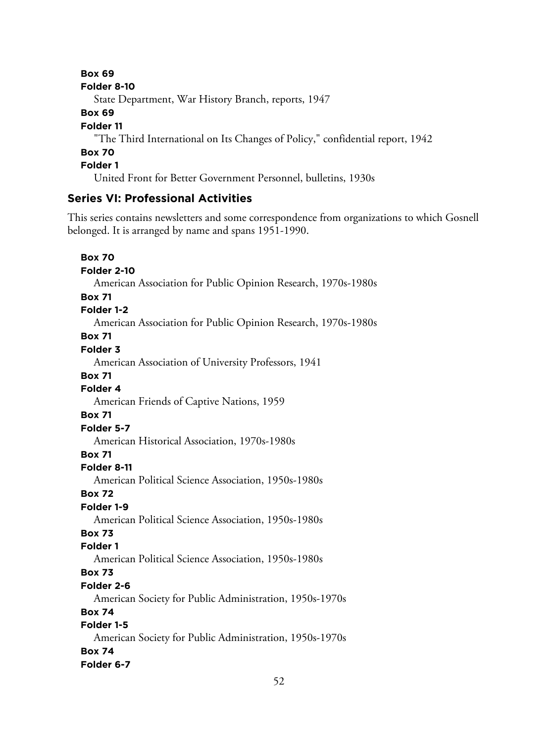## **Box 69 Folder 8-10** State Department, War History Branch, reports, 1947 **Box 69 Folder 11** "The Third International on Its Changes of Policy," confidential report, 1942 **Box 70 Folder 1** United Front for Better Government Personnel, bulletins, 1930s

## **Series VI: Professional Activities**

This series contains newsletters and some correspondence from organizations to which Gosnell belonged. It is arranged by name and spans 1951-1990.

**Box 70 Folder 2-10** American Association for Public Opinion Research, 1970s-1980s **Box 71 Folder 1-2** American Association for Public Opinion Research, 1970s-1980s **Box 71 Folder 3** American Association of University Professors, 1941 **Box 71 Folder 4** American Friends of Captive Nations, 1959 **Box 71 Folder 5-7** American Historical Association, 1970s-1980s **Box 71 Folder 8-11** American Political Science Association, 1950s-1980s **Box 72 Folder 1-9** American Political Science Association, 1950s-1980s **Box 73 Folder 1** American Political Science Association, 1950s-1980s **Box 73 Folder 2-6** American Society for Public Administration, 1950s-1970s **Box 74 Folder 1-5** American Society for Public Administration, 1950s-1970s **Box 74 Folder 6-7**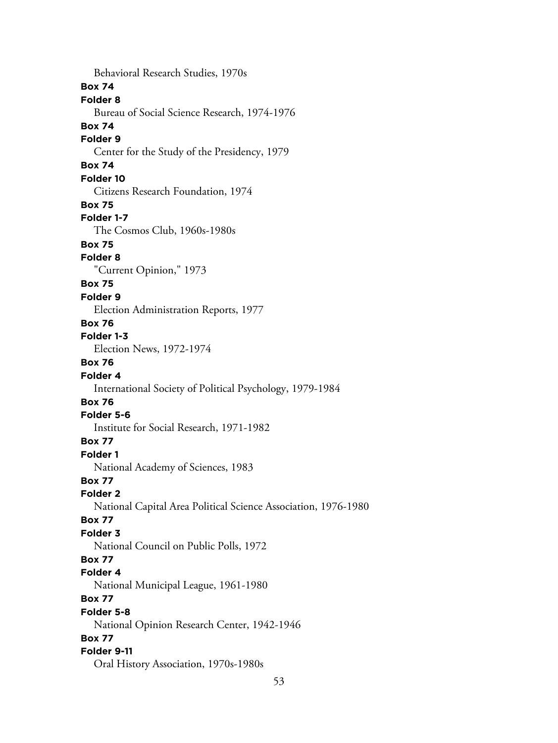Behavioral Research Studies, 1970s **Box 74 Folder 8** Bureau of Social Science Research, 1974-1976 **Box 74 Folder 9** Center for the Study of the Presidency, 1979 **Box 74 Folder 10** Citizens Research Foundation, 1974 **Box 75 Folder 1-7** The Cosmos Club, 1960s-1980s **Box 75 Folder 8** "Current Opinion," 1973 **Box 75 Folder 9** Election Administration Reports, 1977 **Box 76 Folder 1-3** Election News, 1972-1974 **Box 76 Folder 4** International Society of Political Psychology, 1979-1984 **Box 76 Folder 5-6** Institute for Social Research, 1971-1982 **Box 77 Folder 1** National Academy of Sciences, 1983 **Box 77 Folder 2** National Capital Area Political Science Association, 1976-1980 **Box 77 Folder 3** National Council on Public Polls, 1972 **Box 77 Folder 4** National Municipal League, 1961-1980 **Box 77 Folder 5-8** National Opinion Research Center, 1942-1946 **Box 77 Folder 9-11** Oral History Association, 1970s-1980s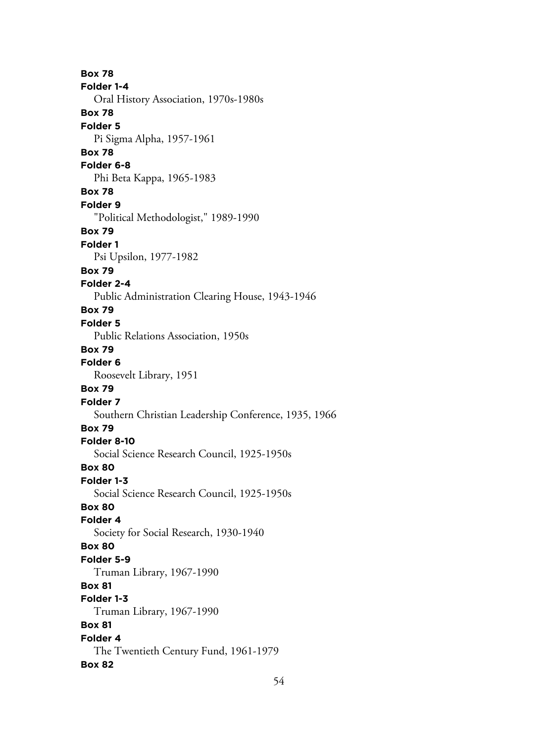**Box 78 Folder 1-4** Oral History Association, 1970s-1980s **Box 78 Folder 5** Pi Sigma Alpha, 1957-1961 **Box 78 Folder 6-8** Phi Beta Kappa, 1965-1983 **Box 78 Folder 9** "Political Methodologist," 1989-1990 **Box 79 Folder 1** Psi Upsilon, 1977-1982 **Box 79 Folder 2-4** Public Administration Clearing House, 1943-1946 **Box 79 Folder 5** Public Relations Association, 1950s **Box 79 Folder 6** Roosevelt Library, 1951 **Box 79 Folder 7** Southern Christian Leadership Conference, 1935, 1966 **Box 79 Folder 8-10** Social Science Research Council, 1925-1950s **Box 80 Folder 1-3** Social Science Research Council, 1925-1950s **Box 80 Folder 4** Society for Social Research, 1930-1940 **Box 80 Folder 5-9** Truman Library, 1967-1990 **Box 81 Folder 1-3** Truman Library, 1967-1990 **Box 81 Folder 4** The Twentieth Century Fund, 1961-1979 **Box 82**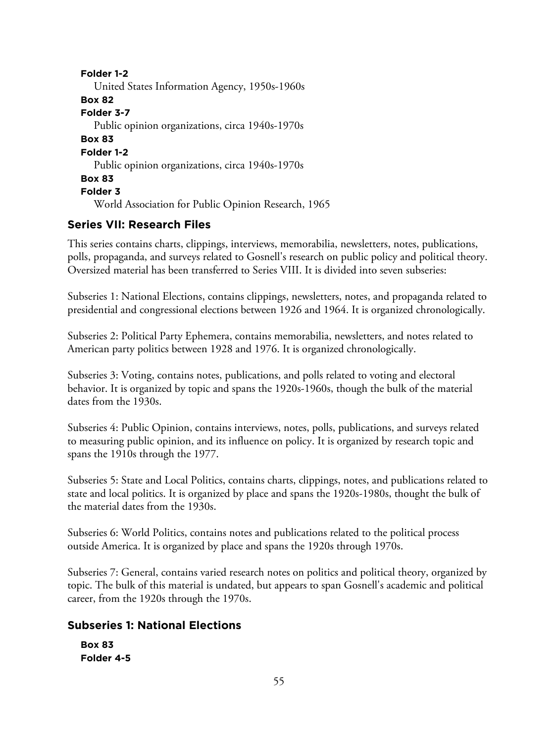**Folder 1-2** United States Information Agency, 1950s-1960s **Box 82 Folder 3-7** Public opinion organizations, circa 1940s-1970s **Box 83 Folder 1-2** Public opinion organizations, circa 1940s-1970s **Box 83 Folder 3** World Association for Public Opinion Research, 1965

## **Series VII: Research Files**

This series contains charts, clippings, interviews, memorabilia, newsletters, notes, publications, polls, propaganda, and surveys related to Gosnell's research on public policy and political theory. Oversized material has been transferred to Series VIII. It is divided into seven subseries:

Subseries 1: National Elections, contains clippings, newsletters, notes, and propaganda related to presidential and congressional elections between 1926 and 1964. It is organized chronologically.

Subseries 2: Political Party Ephemera, contains memorabilia, newsletters, and notes related to American party politics between 1928 and 1976. It is organized chronologically.

Subseries 3: Voting, contains notes, publications, and polls related to voting and electoral behavior. It is organized by topic and spans the 1920s-1960s, though the bulk of the material dates from the 1930s.

Subseries 4: Public Opinion, contains interviews, notes, polls, publications, and surveys related to measuring public opinion, and its influence on policy. It is organized by research topic and spans the 1910s through the 1977.

Subseries 5: State and Local Politics, contains charts, clippings, notes, and publications related to state and local politics. It is organized by place and spans the 1920s-1980s, thought the bulk of the material dates from the 1930s.

Subseries 6: World Politics, contains notes and publications related to the political process outside America. It is organized by place and spans the 1920s through 1970s.

Subseries 7: General, contains varied research notes on politics and political theory, organized by topic. The bulk of this material is undated, but appears to span Gosnell's academic and political career, from the 1920s through the 1970s.

### **Subseries 1: National Elections**

**Box 83 Folder 4-5**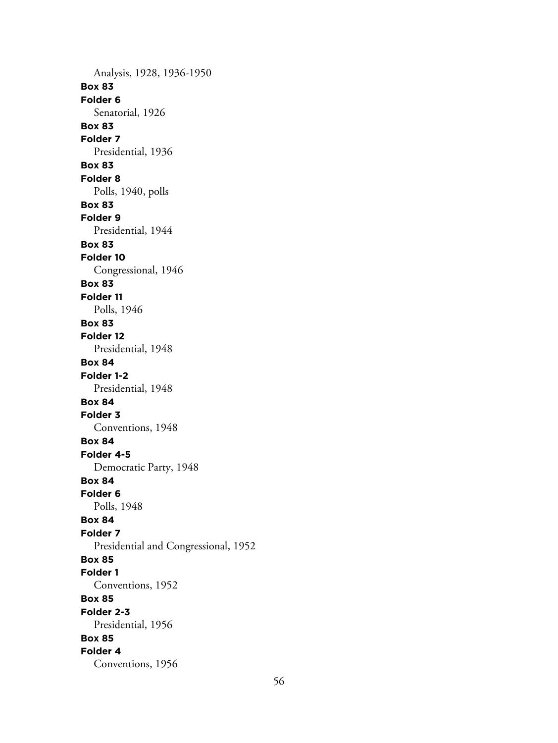Analysis, 1928, 1936-1950 **Box 83 Folder 6** Senatorial, 1926 **Box 83 Folder 7** Presidential, 1936 **Box 83 Folder 8** Polls, 1940, polls **Box 83 Folder 9** Presidential, 1944 **Box 83 Folder 10** Congressional, 1946 **Box 83 Folder 11** Polls, 1946 **Box 83 Folder 12** Presidential, 1948 **Box 84 Folder 1-2** Presidential, 1948 **Box 84 Folder 3** Conventions, 1948 **Box 84 Folder 4-5** Democratic Party, 1948 **Box 84 Folder 6** Polls, 1948 **Box 84 Folder 7** Presidential and Congressional, 1952 **Box 85 Folder 1** Conventions, 1952 **Box 85 Folder 2-3** Presidential, 1956 **Box 85 Folder 4** Conventions, 1956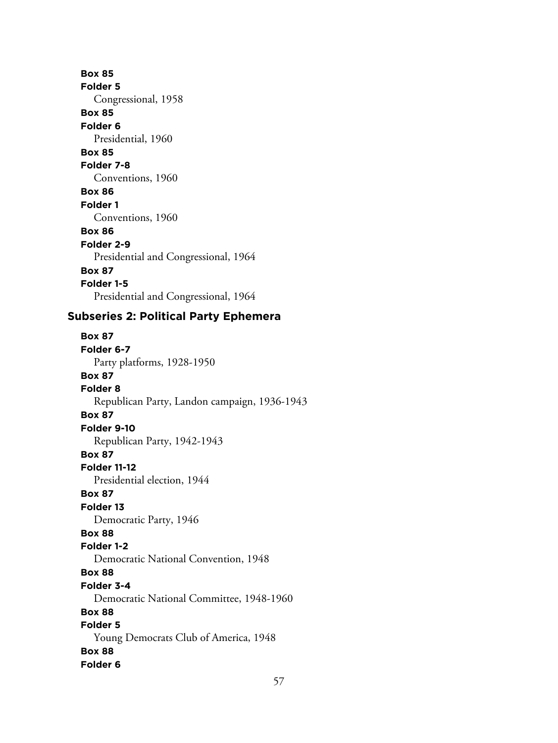**Box 85 Folder 5** Congressional, 1958 **Box 85 Folder 6** Presidential, 1960 **Box 85 Folder 7-8** Conventions, 1960 **Box 86 Folder 1** Conventions, 1960 **Box 86 Folder 2-9** Presidential and Congressional, 1964 **Box 87 Folder 1-5** Presidential and Congressional, 1964

### **Subseries 2: Political Party Ephemera**

**Box 87 Folder 6-7** Party platforms, 1928-1950 **Box 87 Folder 8** Republican Party, Landon campaign, 1936-1943 **Box 87 Folder 9-10** Republican Party, 1942-1943 **Box 87 Folder 11-12** Presidential election, 1944 **Box 87 Folder 13** Democratic Party, 1946 **Box 88 Folder 1-2** Democratic National Convention, 1948 **Box 88 Folder 3-4** Democratic National Committee, 1948-1960 **Box 88 Folder 5** Young Democrats Club of America, 1948 **Box 88 Folder 6**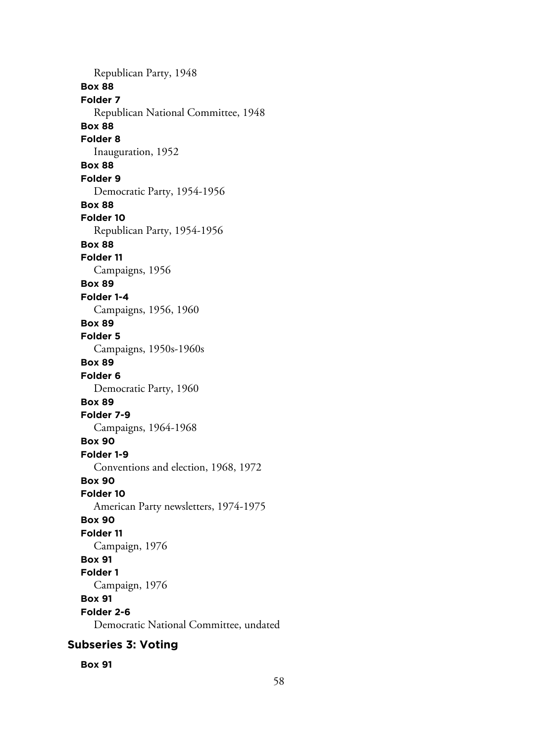Republican Party, 1948 **Box 88 Folder 7** Republican National Committee, 1948 **Box 88 Folder 8** Inauguration, 1952 **Box 88 Folder 9** Democratic Party, 1954-1956 **Box 88 Folder 10** Republican Party, 1954-1956 **Box 88 Folder 11** Campaigns, 1956 **Box 89 Folder 1-4** Campaigns, 1956, 1960 **Box 89 Folder 5** Campaigns, 1950s-1960s **Box 89 Folder 6** Democratic Party, 1960 **Box 89 Folder 7-9** Campaigns, 1964-1968 **Box 90 Folder 1-9** Conventions and election, 1968, 1972 **Box 90 Folder 10** American Party newsletters, 1974-1975 **Box 90 Folder 11** Campaign, 1976 **Box 91 Folder 1** Campaign, 1976 **Box 91 Folder 2-6** Democratic National Committee, undated

## **Subseries 3: Voting**

**Box 91**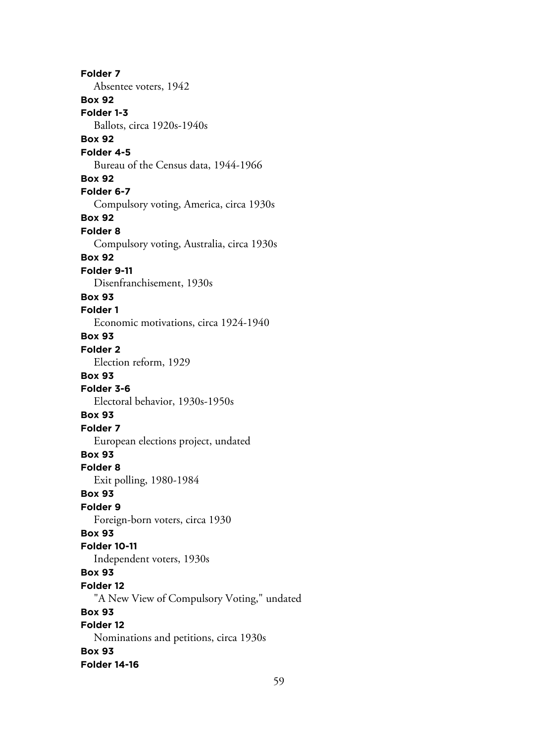**Folder 7** Absentee voters, 1942 **Box 92 Folder 1-3** Ballots, circa 1920s-1940s **Box 92 Folder 4-5** Bureau of the Census data, 1944-1966 **Box 92 Folder 6-7** Compulsory voting, America, circa 1930s **Box 92 Folder 8** Compulsory voting, Australia, circa 1930s **Box 92 Folder 9-11** Disenfranchisement, 1930s **Box 93 Folder 1** Economic motivations, circa 1924-1940 **Box 93 Folder 2** Election reform, 1929 **Box 93 Folder 3-6** Electoral behavior, 1930s-1950s **Box 93 Folder 7** European elections project, undated **Box 93 Folder 8** Exit polling, 1980-1984 **Box 93 Folder 9** Foreign-born voters, circa 1930 **Box 93 Folder 10-11** Independent voters, 1930s **Box 93 Folder 12** "A New View of Compulsory Voting," undated **Box 93 Folder 12** Nominations and petitions, circa 1930s **Box 93 Folder 14-16**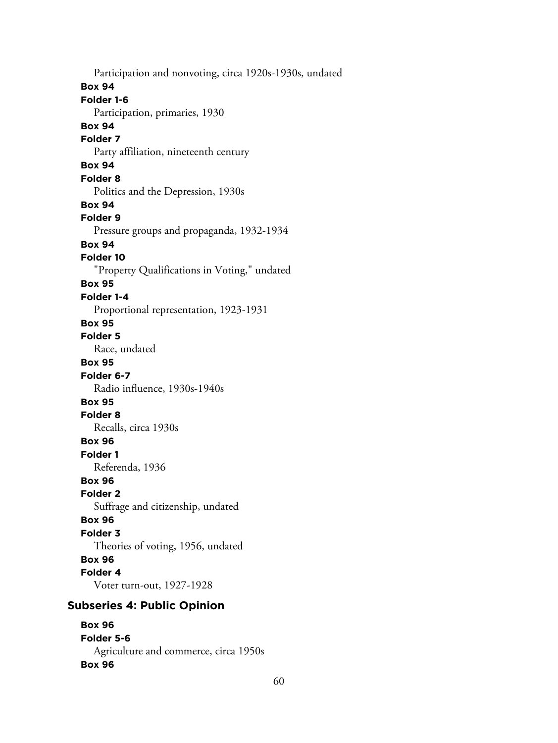Participation and nonvoting, circa 1920s-1930s, undated **Box 94 Folder 1-6** Participation, primaries, 1930 **Box 94 Folder 7** Party affiliation, nineteenth century **Box 94 Folder 8** Politics and the Depression, 1930s **Box 94 Folder 9** Pressure groups and propaganda, 1932-1934 **Box 94 Folder 10** "Property Qualifications in Voting," undated **Box 95 Folder 1-4** Proportional representation, 1923-1931 **Box 95 Folder 5** Race, undated **Box 95 Folder 6-7** Radio influence, 1930s-1940s **Box 95 Folder 8** Recalls, circa 1930s **Box 96 Folder 1** Referenda, 1936 **Box 96 Folder 2** Suffrage and citizenship, undated **Box 96 Folder 3** Theories of voting, 1956, undated **Box 96 Folder 4** Voter turn-out, 1927-1928 **Subseries 4: Public Opinion Box 96**

# **Folder 5-6** Agriculture and commerce, circa 1950s **Box 96**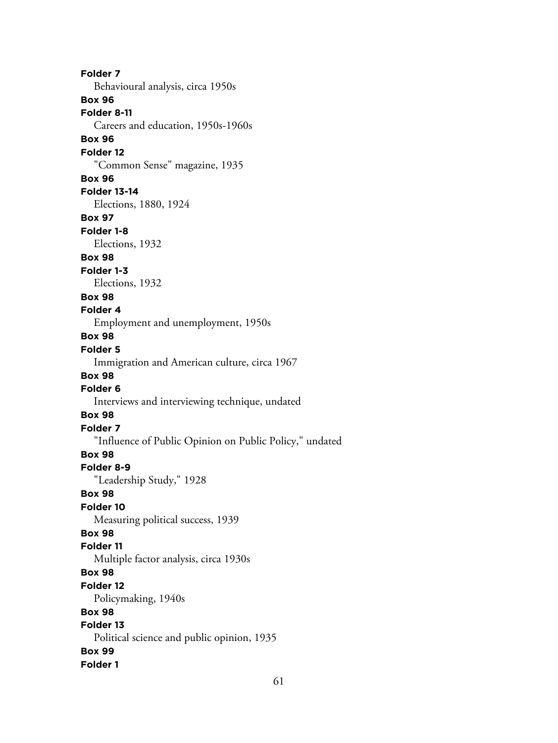**Folder 7** Behavioural analysis, circa 1950s **Box 96 Folder 8-11** Careers and education, 1950s-1960s **Box 96 Folder 12** "Common Sense" magazine, 1935 **Box 96 Folder 13-14** Elections, 1880, 1924 **Box 97 Folder 1-8** Elections, 1932 **Box 98 Folder 1-3** Elections, 1932 **Box 98 Folder 4** Employment and unemployment, 1950s **Box 98 Folder 5** Immigration and American culture, circa 1967 **Box 98 Folder 6** Interviews and interviewing technique, undated **Box 98 Folder 7** "Influence of Public Opinion on Public Policy," undated **Box 98 Folder 8-9** "Leadership Study," 1928 **Box 98 Folder 10** Measuring political success, 1939 **Box 98 Folder 11** Multiple factor analysis, circa 1930s **Box 98 Folder 12** Policymaking, 1940s **Box 98 Folder 13** Political science and public opinion, 1935 **Box 99 Folder 1**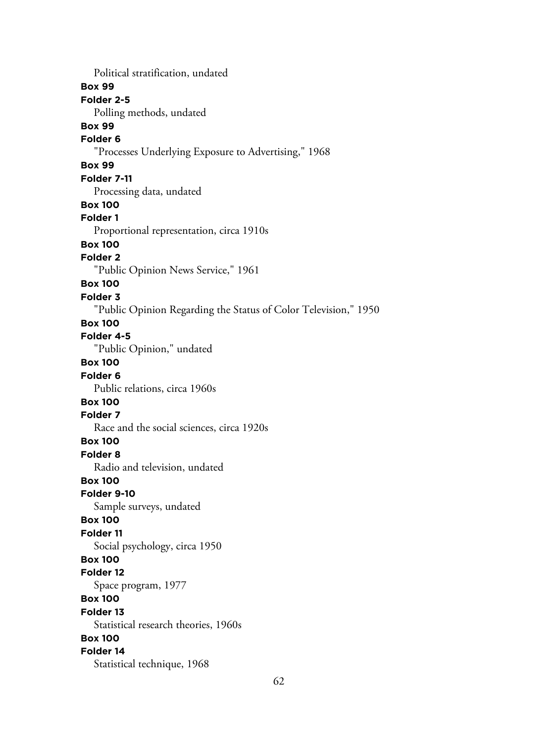Political stratification, undated **Box 99 Folder 2-5** Polling methods, undated **Box 99 Folder 6** "Processes Underlying Exposure to Advertising," 1968 **Box 99 Folder 7-11** Processing data, undated **Box 100 Folder 1** Proportional representation, circa 1910s **Box 100 Folder 2** "Public Opinion News Service," 1961 **Box 100 Folder 3** "Public Opinion Regarding the Status of Color Television," 1950 **Box 100 Folder 4-5** "Public Opinion," undated **Box 100 Folder 6** Public relations, circa 1960s **Box 100 Folder 7** Race and the social sciences, circa 1920s **Box 100 Folder 8** Radio and television, undated **Box 100 Folder 9-10** Sample surveys, undated **Box 100 Folder 11** Social psychology, circa 1950 **Box 100 Folder 12** Space program, 1977 **Box 100 Folder 13** Statistical research theories, 1960s **Box 100 Folder 14** Statistical technique, 1968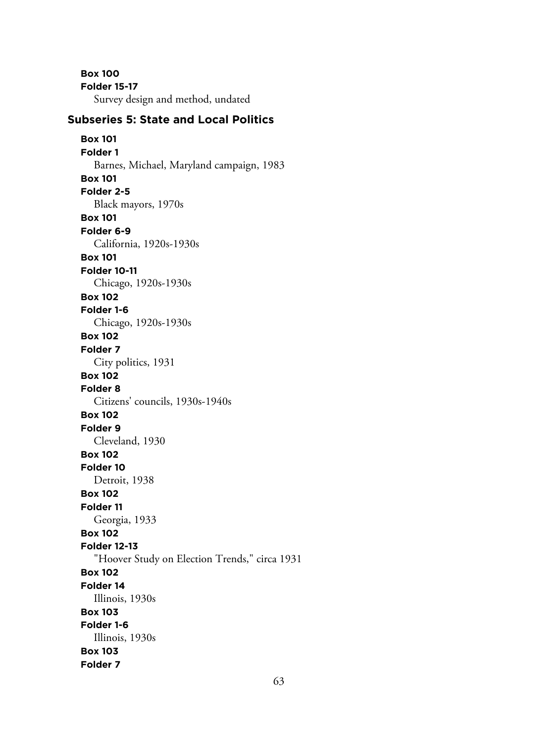**Box 100 Folder 15-17** Survey design and method, undated

### **Subseries 5: State and Local Politics**

**Box 101 Folder 1** Barnes, Michael, Maryland campaign, 1983 **Box 101 Folder 2-5** Black mayors, 1970s **Box 101 Folder 6-9** California, 1920s-1930s **Box 101 Folder 10-11** Chicago, 1920s-1930s **Box 102 Folder 1-6** Chicago, 1920s-1930s **Box 102 Folder 7** City politics, 1931 **Box 102 Folder 8** Citizens' councils, 1930s-1940s **Box 102 Folder 9** Cleveland, 1930 **Box 102 Folder 10** Detroit, 1938 **Box 102 Folder 11** Georgia, 1933 **Box 102 Folder 12-13** "Hoover Study on Election Trends," circa 1931 **Box 102 Folder 14** Illinois, 1930s **Box 103 Folder 1-6** Illinois, 1930s **Box 103 Folder 7**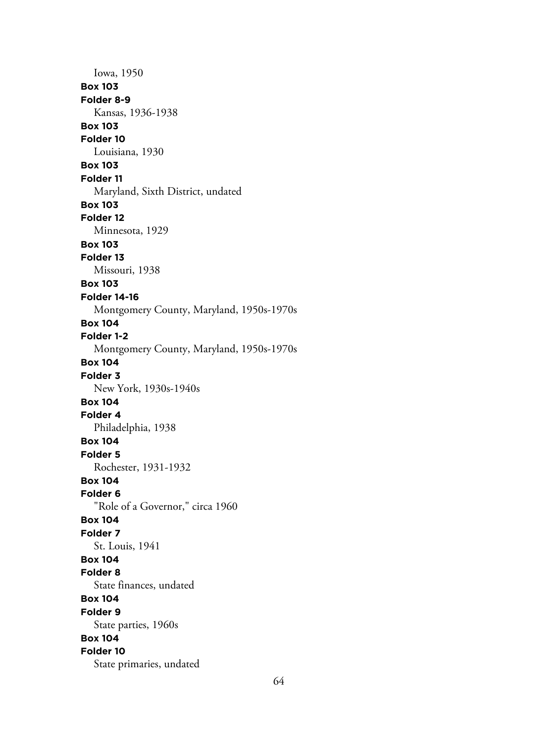Iowa, 1950 **Box 103 Folder 8-9** Kansas, 1936-1938 **Box 103 Folder 10** Louisiana, 1930 **Box 103 Folder 11** Maryland, Sixth District, undated **Box 103 Folder 12** Minnesota, 1929 **Box 103 Folder 13** Missouri, 1938 **Box 103 Folder 14-16** Montgomery County, Maryland, 1950s-1970s **Box 104 Folder 1-2** Montgomery County, Maryland, 1950s-1970s **Box 104 Folder 3** New York, 1930s-1940s **Box 104 Folder 4** Philadelphia, 1938 **Box 104 Folder 5** Rochester, 1931-1932 **Box 104 Folder 6** "Role of a Governor," circa 1960 **Box 104 Folder 7** St. Louis, 1941 **Box 104 Folder 8** State finances, undated **Box 104 Folder 9** State parties, 1960s **Box 104 Folder 10** State primaries, undated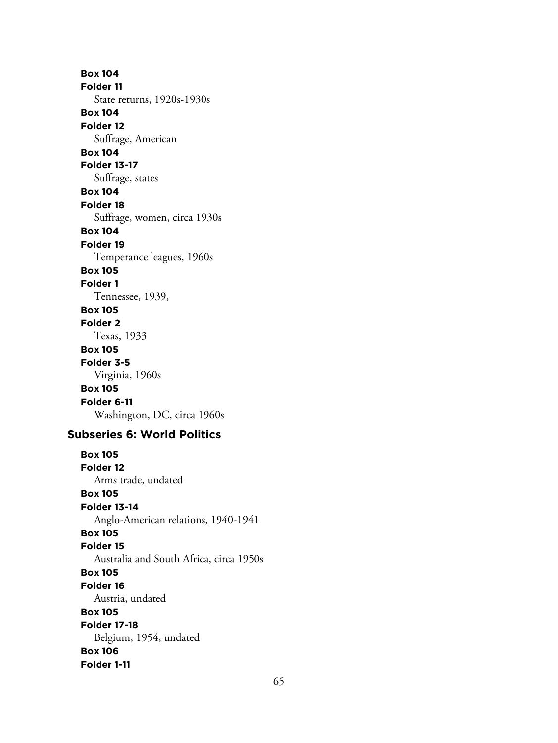**Box 104 Folder 11** State returns, 1920s-1930s **Box 104 Folder 12** Suffrage, American **Box 104 Folder 13-17** Suffrage, states **Box 104 Folder 18** Suffrage, women, circa 1930s **Box 104 Folder 19** Temperance leagues, 1960s **Box 105 Folder 1** Tennessee, 1939, **Box 105 Folder 2** Texas, 1933 **Box 105 Folder 3-5** Virginia, 1960s **Box 105 Folder 6-11** Washington, DC, circa 1960s **Subseries 6: World Politics Box 105 Folder 12** Arms trade, undated **Box 105 Folder 13-14** Anglo-American relations, 1940-1941 **Box 105 Folder 15** Australia and South Africa, circa 1950s **Box 105 Folder 16** Austria, undated **Box 105 Folder 17-18** Belgium, 1954, undated **Box 106 Folder 1-11**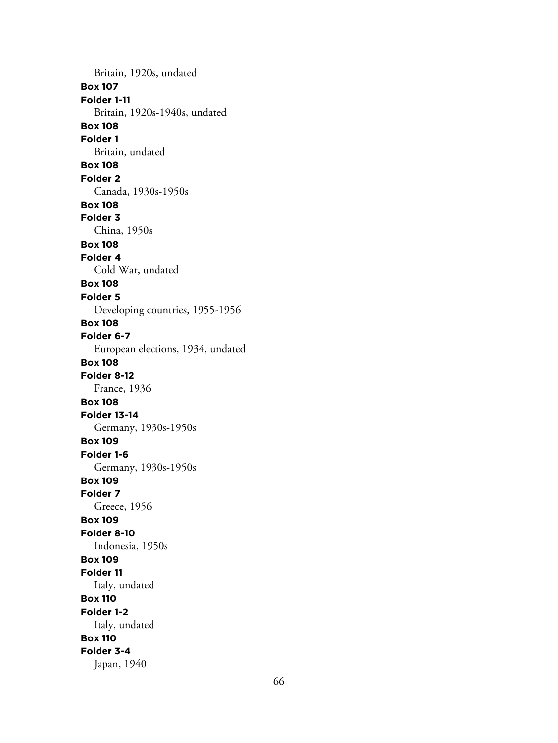Britain, 1920s, undated **Box 107 Folder 1-11** Britain, 1920s-1940s, undated **Box 108 Folder 1** Britain, undated **Box 108 Folder 2** Canada, 1930s-1950s **Box 108 Folder 3** China, 1950s **Box 108 Folder 4** Cold War, undated **Box 108 Folder 5** Developing countries, 1955-1956 **Box 108 Folder 6-7** European elections, 1934, undated **Box 108 Folder 8-12** France, 1936 **Box 108 Folder 13-14** Germany, 1930s-1950s **Box 109 Folder 1-6** Germany, 1930s-1950s **Box 109 Folder 7** Greece, 1956 **Box 109 Folder 8-10** Indonesia, 1950s **Box 109 Folder 11** Italy, undated **Box 110 Folder 1-2** Italy, undated **Box 110 Folder 3-4** Japan, 1940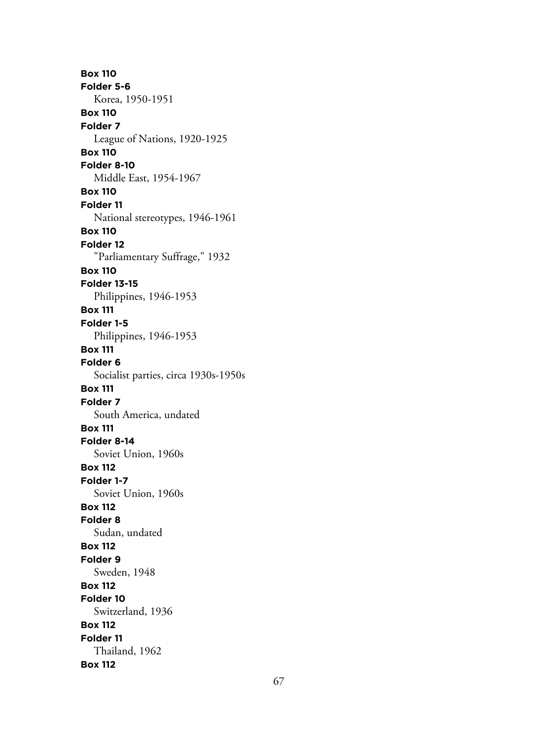**Box 110 Folder 5-6** Korea, 1950-1951 **Box 110 Folder 7** League of Nations, 1920-1925 **Box 110 Folder 8-10** Middle East, 1954-1967 **Box 110 Folder 11** National stereotypes, 1946-1961 **Box 110 Folder 12** "Parliamentary Suffrage," 1932 **Box 110 Folder 13-15** Philippines, 1946-1953 **Box 111 Folder 1-5** Philippines, 1946-1953 **Box 111 Folder 6** Socialist parties, circa 1930s-1950s **Box 111 Folder 7** South America, undated **Box 111 Folder 8-14** Soviet Union, 1960s **Box 112 Folder 1-7** Soviet Union, 1960s **Box 112 Folder 8** Sudan, undated **Box 112 Folder 9** Sweden, 1948 **Box 112 Folder 10** Switzerland, 1936 **Box 112 Folder 11** Thailand, 1962 **Box 112**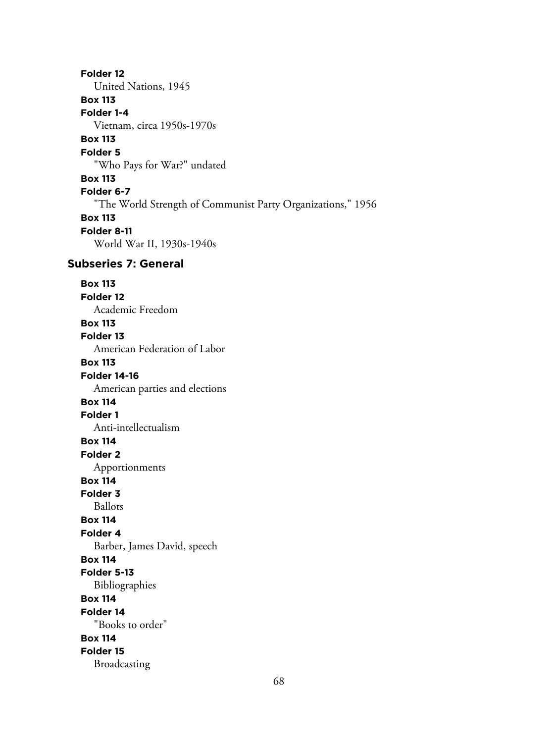**Folder 12** United Nations, 1945 **Box 113 Folder 1-4** Vietnam, circa 1950s-1970s **Box 113 Folder 5** "Who Pays for War?" undated **Box 113 Folder 6-7** "The World Strength of Communist Party Organizations," 1956 **Box 113 Folder 8-11** World War II, 1930s-1940s

# **Subseries 7: General**

**Box 113 Folder 12** Academic Freedom **Box 113 Folder 13** American Federation of Labor **Box 113 Folder 14-16** American parties and elections **Box 114 Folder 1** Anti-intellectualism **Box 114 Folder 2** Apportionments **Box 114 Folder 3** Ballots **Box 114 Folder 4** Barber, James David, speech **Box 114 Folder 5-13** Bibliographies **Box 114 Folder 14** "Books to order" **Box 114 Folder 15** Broadcasting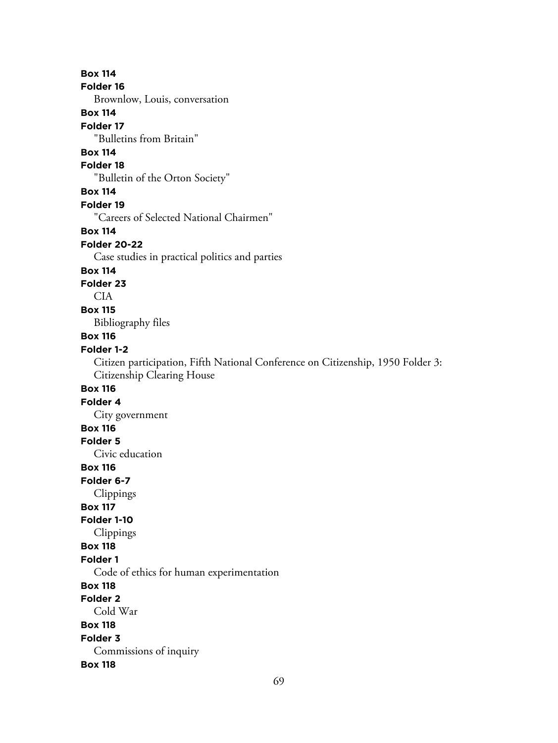**Box 114**

**Folder 16**

Brownlow, Louis, conversation

#### **Box 114**

#### **Folder 17**

"Bulletins from Britain"

## **Box 114**

### **Folder 18**

"Bulletin of the Orton Society"

### **Box 114**

#### **Folder 19**

"Careers of Selected National Chairmen"

#### **Box 114**

#### **Folder 20-22**

Case studies in practical politics and parties

#### **Box 114**

#### **Folder 23**

CIA

## **Box 115**

Bibliography files

#### **Box 116**

### **Folder 1-2**

Citizen participation, Fifth National Conference on Citizenship, 1950 Folder 3: Citizenship Clearing House

### **Box 116**

## **Folder 4**

City government

### **Box 116**

**Folder 5**

Civic education

## **Box 116**

**Folder 6-7**

Clippings

## **Box 117**

#### **Folder 1-10**

Clippings

### **Box 118**

#### **Folder 1**

Code of ethics for human experimentation

## **Box 118**

**Folder 2**

# Cold War

**Box 118**

#### **Folder 3**

Commissions of inquiry

### **Box 118**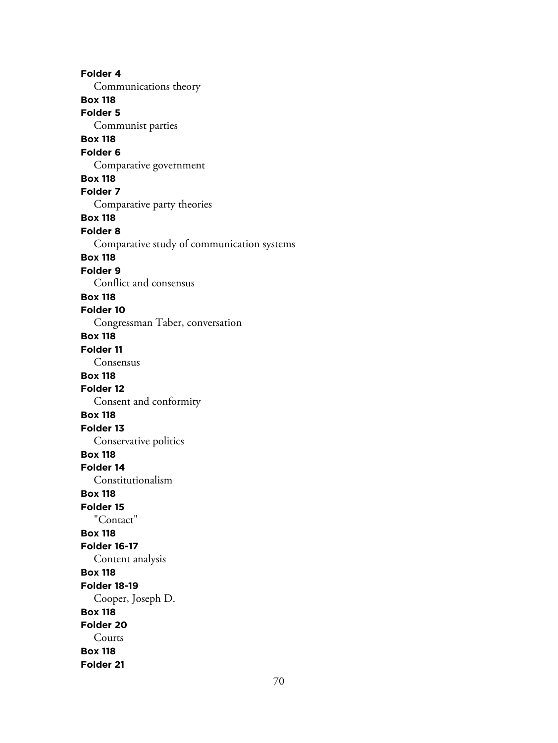**Folder 4** Communications theory **Box 118 Folder 5** Communist parties **Box 118 Folder 6** Comparative government **Box 118 Folder 7** Comparative party theories **Box 118 Folder 8** Comparative study of communication systems **Box 118 Folder 9** Conflict and consensus **Box 118 Folder 10** Congressman Taber, conversation **Box 118 Folder 11** Consensus **Box 118 Folder 12** Consent and conformity **Box 118 Folder 13** Conservative politics **Box 118 Folder 14** Constitutionalism **Box 118 Folder 15** "Contact" **Box 118 Folder 16-17** Content analysis **Box 118 Folder 18-19** Cooper, Joseph D. **Box 118 Folder 20** Courts **Box 118 Folder 21**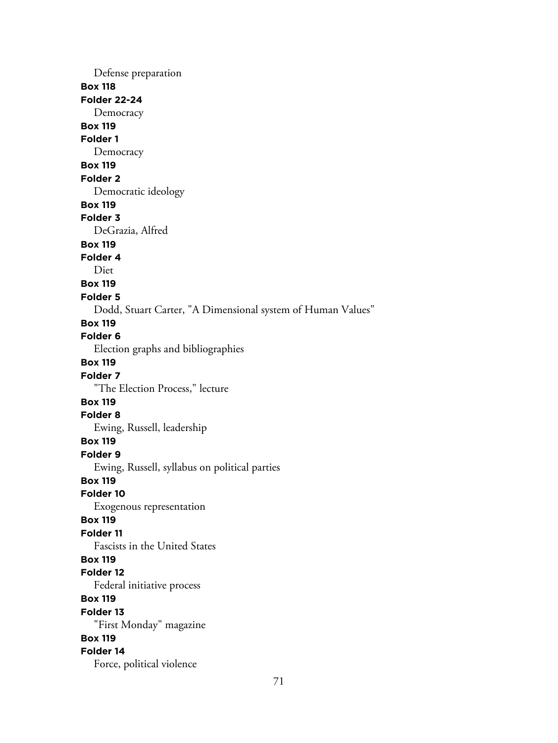Defense preparation **Box 118 Folder 22-24** Democracy **Box 119 Folder 1** Democracy **Box 119 Folder 2** Democratic ideology **Box 119 Folder 3** DeGrazia, Alfred **Box 119 Folder 4** Diet **Box 119 Folder 5** Dodd, Stuart Carter, "A Dimensional system of Human Values" **Box 119 Folder 6** Election graphs and bibliographies **Box 119 Folder 7** "The Election Process," lecture **Box 119 Folder 8** Ewing, Russell, leadership **Box 119 Folder 9** Ewing, Russell, syllabus on political parties **Box 119 Folder 10** Exogenous representation **Box 119 Folder 11** Fascists in the United States **Box 119 Folder 12** Federal initiative process **Box 119 Folder 13** "First Monday" magazine **Box 119 Folder 14** Force, political violence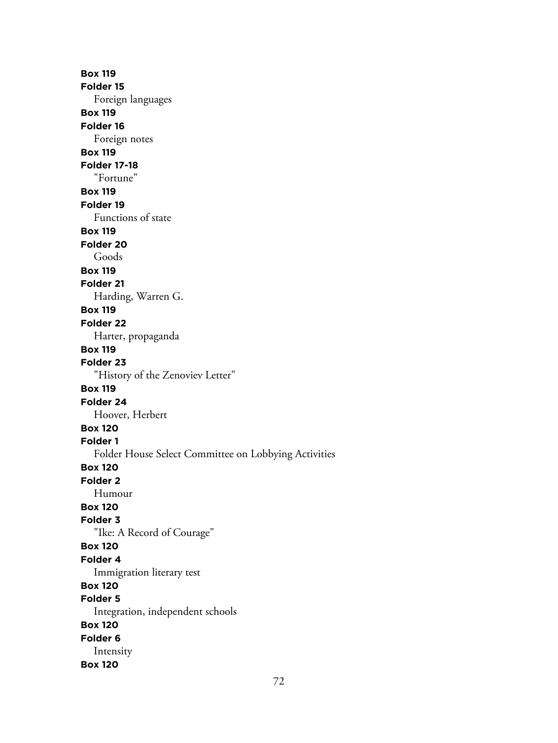**Box 119 Folder 15** Foreign languages **Box 119 Folder 16** Foreign notes **Box 119 Folder 17-18** "Fortune" **Box 119 Folder 19** Functions of state **Box 119 Folder 20** Goods **Box 119 Folder 21** Harding, Warren G. **Box 119 Folder 22** Harter, propaganda **Box 119 Folder 23** "History of the Zenoviev Letter" **Box 119 Folder 24** Hoover, Herbert **Box 120 Folder 1** Folder House Select Committee on Lobbying Activities **Box 120 Folder 2** Humour **Box 120 Folder 3** "Ike: A Record of Courage" **Box 120 Folder 4** Immigration literary test **Box 120 Folder 5** Integration, independent schools **Box 120 Folder 6** Intensity **Box 120**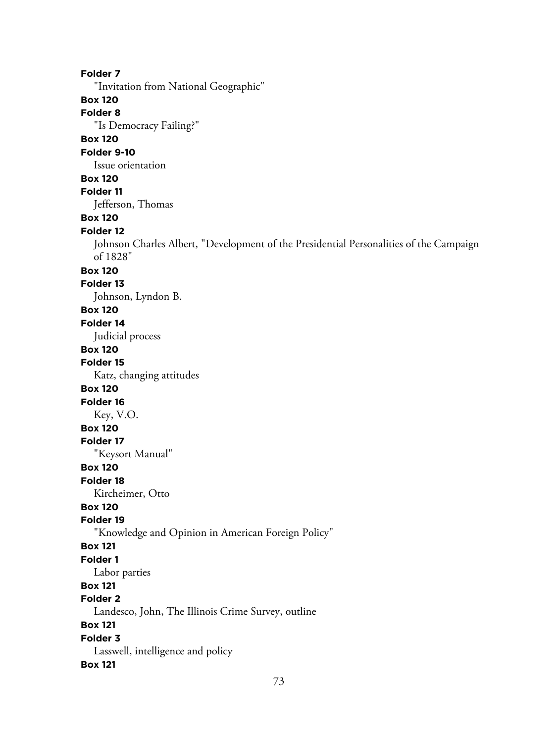**Folder 7** "Invitation from National Geographic" **Box 120 Folder 8** "Is Democracy Failing?" **Box 120 Folder 9-10** Issue orientation **Box 120 Folder 11** Jefferson, Thomas **Box 120 Folder 12** Johnson Charles Albert, "Development of the Presidential Personalities of the Campaign of 1828" **Box 120 Folder 13** Johnson, Lyndon B. **Box 120 Folder 14** Judicial process **Box 120 Folder 15** Katz, changing attitudes **Box 120 Folder 16** Key, V.O. **Box 120 Folder 17** "Keysort Manual" **Box 120 Folder 18** Kircheimer, Otto **Box 120 Folder 19** "Knowledge and Opinion in American Foreign Policy" **Box 121 Folder 1** Labor parties **Box 121 Folder 2** Landesco, John, The Illinois Crime Survey, outline **Box 121 Folder 3** Lasswell, intelligence and policy **Box 121**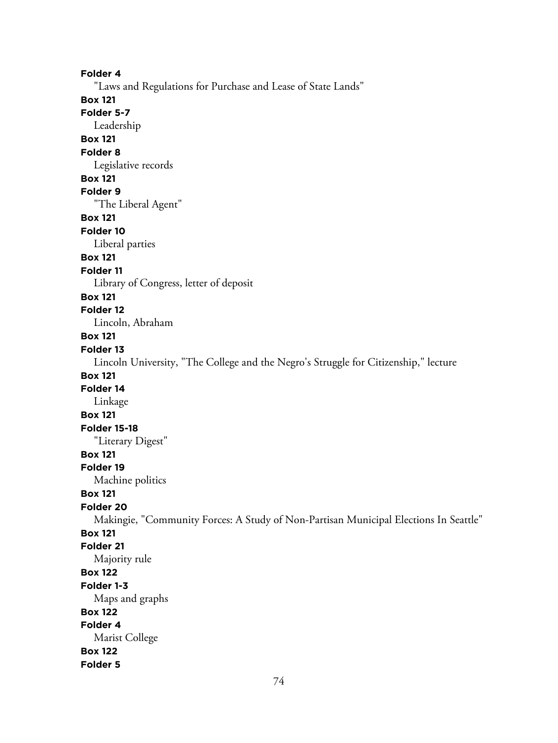**Folder 4** "Laws and Regulations for Purchase and Lease of State Lands" **Box 121 Folder 5-7** Leadership **Box 121 Folder 8** Legislative records **Box 121 Folder 9** "The Liberal Agent" **Box 121 Folder 10** Liberal parties **Box 121 Folder 11** Library of Congress, letter of deposit **Box 121 Folder 12** Lincoln, Abraham **Box 121 Folder 13** Lincoln University, "The College and the Negro's Struggle for Citizenship," lecture **Box 121 Folder 14** Linkage **Box 121 Folder 15-18** "Literary Digest" **Box 121 Folder 19** Machine politics **Box 121 Folder 20** Makingie, "Community Forces: A Study of Non-Partisan Municipal Elections In Seattle" **Box 121 Folder 21** Majority rule **Box 122 Folder 1-3** Maps and graphs **Box 122 Folder 4** Marist College **Box 122 Folder 5**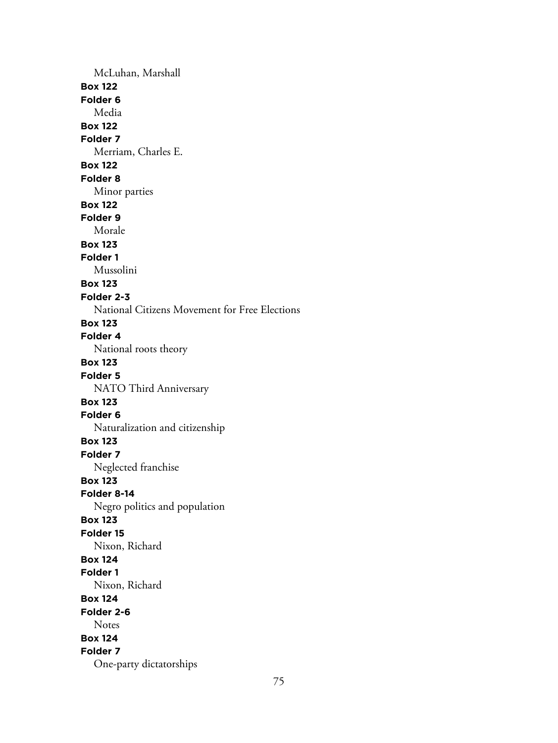McLuhan, Marshall **Box 122 Folder 6** Media **Box 122 Folder 7** Merriam, Charles E. **Box 122 Folder 8** Minor parties **Box 122 Folder 9** Morale **Box 123 Folder 1** Mussolini **Box 123 Folder 2-3** National Citizens Movement for Free Elections **Box 123 Folder 4** National roots theory **Box 123 Folder 5** NATO Third Anniversary **Box 123 Folder 6** Naturalization and citizenship **Box 123 Folder 7** Neglected franchise **Box 123 Folder 8-14** Negro politics and population **Box 123 Folder 15** Nixon, Richard **Box 124 Folder 1** Nixon, Richard **Box 124 Folder 2-6** Notes **Box 124 Folder 7** One-party dictatorships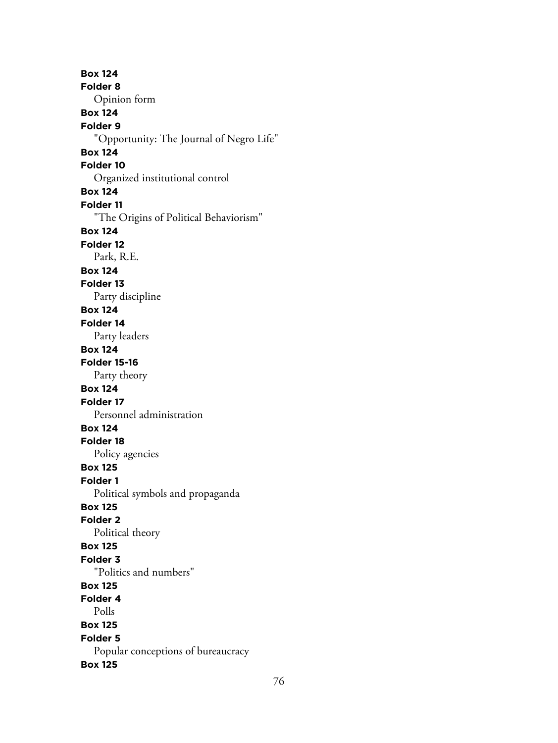**Box 124 Folder 8** Opinion form **Box 124 Folder 9** "Opportunity: The Journal of Negro Life" **Box 124 Folder 10** Organized institutional control **Box 124 Folder 11** "The Origins of Political Behaviorism" **Box 124 Folder 12** Park, R.E. **Box 124 Folder 13** Party discipline **Box 124 Folder 14** Party leaders **Box 124 Folder 15-16** Party theory **Box 124 Folder 17** Personnel administration **Box 124 Folder 18** Policy agencies **Box 125 Folder 1** Political symbols and propaganda **Box 125 Folder 2** Political theory **Box 125 Folder 3** "Politics and numbers" **Box 125 Folder 4** Polls **Box 125 Folder 5** Popular conceptions of bureaucracy **Box 125**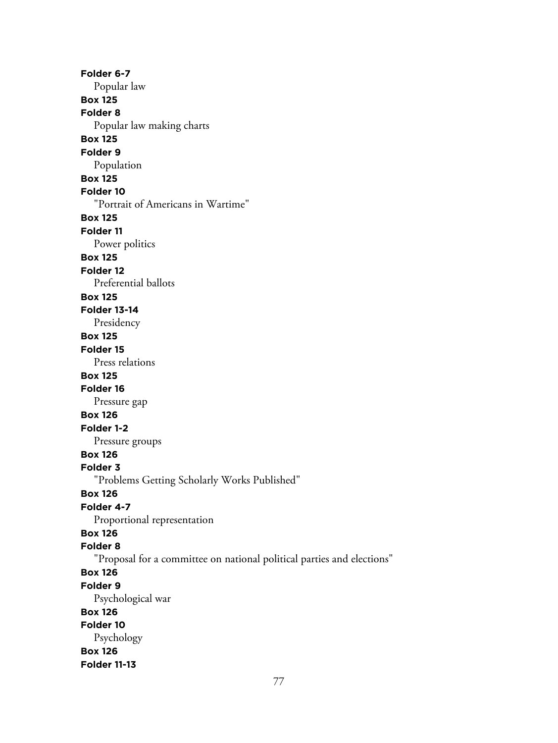**Folder 6-7** Popular law **Box 125 Folder 8** Popular law making charts **Box 125 Folder 9** Population **Box 125 Folder 10** "Portrait of Americans in Wartime" **Box 125 Folder 11** Power politics **Box 125 Folder 12** Preferential ballots **Box 125 Folder 13-14** Presidency **Box 125 Folder 15** Press relations **Box 125 Folder 16** Pressure gap **Box 126 Folder 1-2** Pressure groups **Box 126 Folder 3** "Problems Getting Scholarly Works Published" **Box 126 Folder 4-7** Proportional representation **Box 126 Folder 8** "Proposal for a committee on national political parties and elections" **Box 126 Folder 9** Psychological war **Box 126 Folder 10** Psychology **Box 126 Folder 11-13**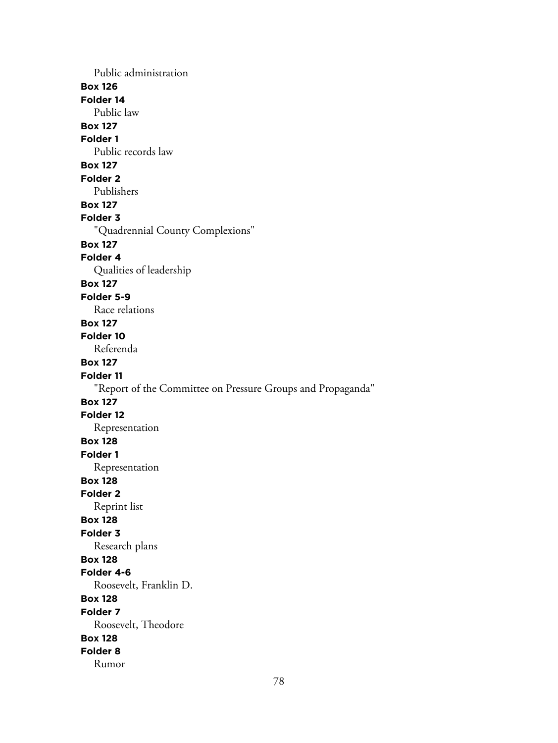Public administration **Box 126 Folder 14** Public law **Box 127 Folder 1** Public records law **Box 127 Folder 2** Publishers **Box 127 Folder 3** "Quadrennial County Complexions" **Box 127 Folder 4** Qualities of leadership **Box 127 Folder 5-9** Race relations **Box 127 Folder 10** Referenda **Box 127 Folder 11** "Report of the Committee on Pressure Groups and Propaganda" **Box 127 Folder 12** Representation **Box 128 Folder 1** Representation **Box 128 Folder 2** Reprint list **Box 128 Folder 3** Research plans **Box 128 Folder 4-6** Roosevelt, Franklin D. **Box 128 Folder 7** Roosevelt, Theodore **Box 128 Folder 8** Rumor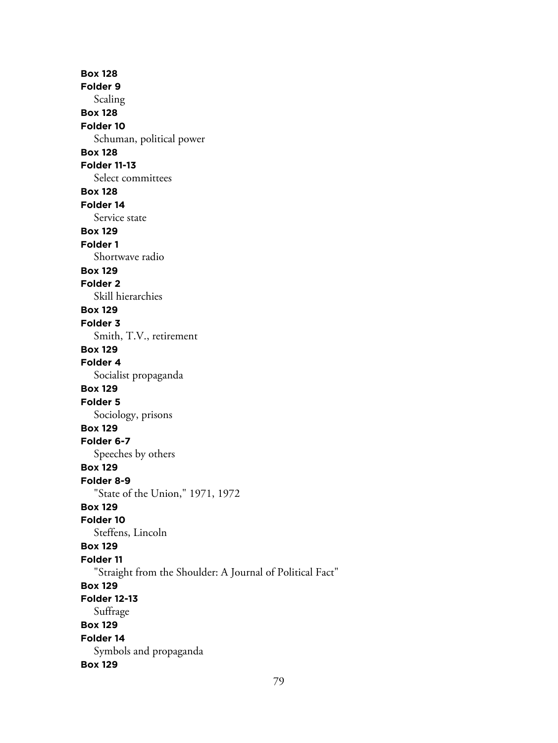**Box 128 Folder 9** Scaling **Box 128 Folder 10** Schuman, political power **Box 128 Folder 11-13** Select committees **Box 128 Folder 14** Service state **Box 129 Folder 1** Shortwave radio **Box 129 Folder 2** Skill hierarchies **Box 129 Folder 3** Smith, T.V., retirement **Box 129 Folder 4** Socialist propaganda **Box 129 Folder 5** Sociology, prisons **Box 129 Folder 6-7** Speeches by others **Box 129 Folder 8-9** "State of the Union," 1971, 1972 **Box 129 Folder 10** Steffens, Lincoln **Box 129 Folder 11** "Straight from the Shoulder: A Journal of Political Fact" **Box 129 Folder 12-13** Suffrage **Box 129 Folder 14** Symbols and propaganda **Box 129**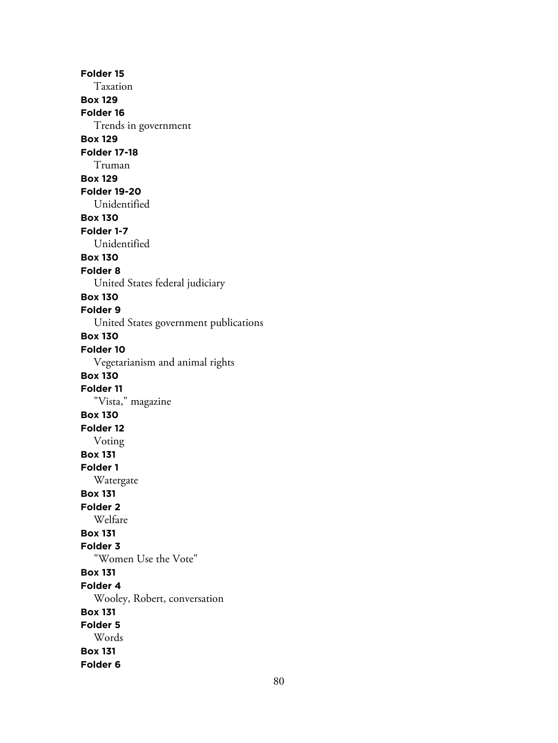**Folder 15** Taxation **Box 129 Folder 16** Trends in government **Box 129 Folder 17-18** Truman **Box 129 Folder 19-20** Unidentified **Box 130 Folder 1-7** Unidentified **Box 130 Folder 8** United States federal judiciary **Box 130 Folder 9** United States government publications **Box 130 Folder 10** Vegetarianism and animal rights **Box 130 Folder 11** "Vista," magazine **Box 130 Folder 12** Voting **Box 131 Folder 1** Watergate **Box 131 Folder 2** Welfare **Box 131 Folder 3** "Women Use the Vote" **Box 131 Folder 4** Wooley, Robert, conversation **Box 131 Folder 5** Words **Box 131 Folder 6**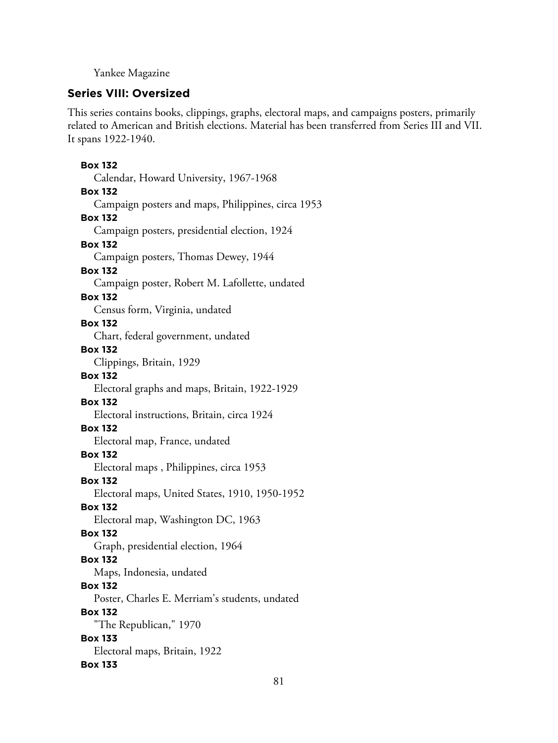## Yankee Magazine

## **Series VIII: Oversized**

This series contains books, clippings, graphs, electoral maps, and campaigns posters, primarily related to American and British elections. Material has been transferred from Series III and VII. It spans 1922-1940.

## **Box 132** Calendar, Howard University, 1967-1968 **Box 132** Campaign posters and maps, Philippines, circa 1953 **Box 132** Campaign posters, presidential election, 1924 **Box 132** Campaign posters, Thomas Dewey, 1944 **Box 132** Campaign poster, Robert M. Lafollette, undated **Box 132** Census form, Virginia, undated **Box 132** Chart, federal government, undated **Box 132** Clippings, Britain, 1929 **Box 132** Electoral graphs and maps, Britain, 1922-1929 **Box 132** Electoral instructions, Britain, circa 1924 **Box 132** Electoral map, France, undated **Box 132** Electoral maps , Philippines, circa 1953 **Box 132** Electoral maps, United States, 1910, 1950-1952 **Box 132** Electoral map, Washington DC, 1963 **Box 132** Graph, presidential election, 1964 **Box 132** Maps, Indonesia, undated **Box 132** Poster, Charles E. Merriam's students, undated **Box 132** "The Republican," 1970 **Box 133** Electoral maps, Britain, 1922 **Box 133**